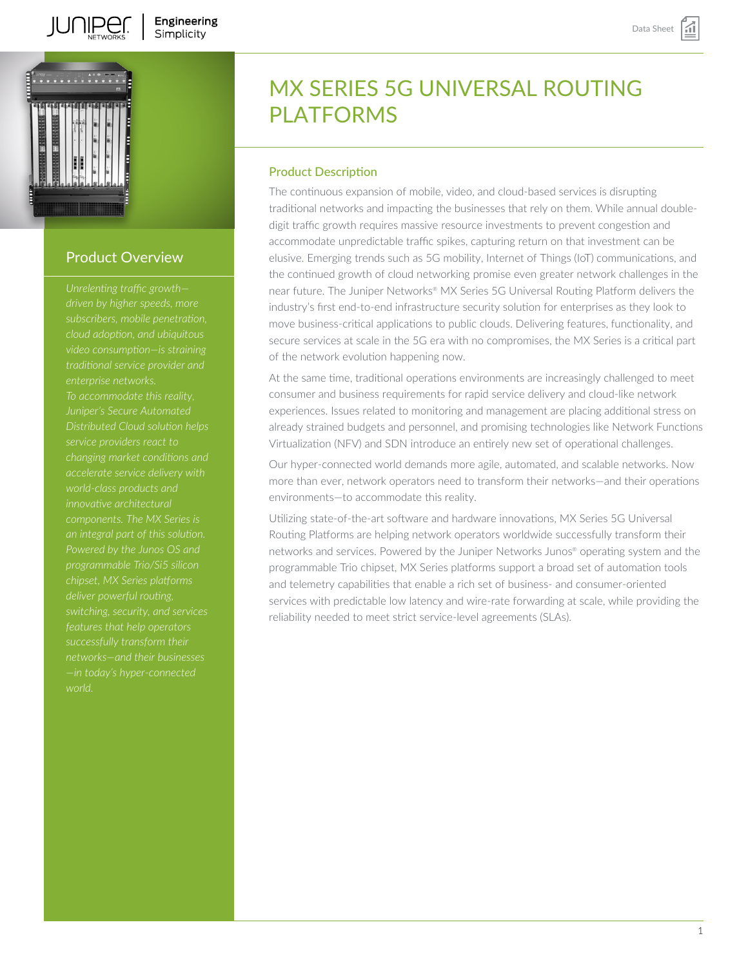



# Product Overview

*subscribers, mobile penetration, traditional service provider and Juniper's Secure Automated Distributed Cloud solution helps service providers react to changing market conditions and accelerate service delivery with innovative architectural components. The MX Series is an integral part of this solution. Powered by the Junos OS and deliver powerful routing, features that help operators successfully transform their networks—and their businesses —in today's hyper-connected*

# MX SERIES 5G UNIVERSAL ROUTING PI ATFORMS

# Product Description

The continuous expansion of mobile, video, and cloud-based services is disrupting traditional networks and impacting the businesses that rely on them. While annual doubledigit traffic growth requires massive resource investments to prevent congestion and accommodate unpredictable traffic spikes, capturing return on that investment can be elusive. Emerging trends such as 5G mobility, Internet of Things (IoT) communications, and the continued growth of cloud networking promise even greater network challenges in the near future. The Juniper Networks® MX Series 5G Universal Routing Platform delivers the industry's first end-to-end infrastructure security solution for enterprises as they look to move business-critical applications to public clouds. Delivering features, functionality, and secure services at scale in the 5G era with no compromises, the MX Series is a critical part of the network evolution happening now.

At the same time, traditional operations environments are increasingly challenged to meet consumer and business requirements for rapid service delivery and cloud-like network experiences. Issues related to monitoring and management are placing additional stress on already strained budgets and personnel, and promising technologies like Network Functions Virtualization (NFV) and SDN introduce an entirely new set of operational challenges.

Our hyper-connected world demands more agile, automated, and scalable networks. Now more than ever, network operators need to transform their networks—and their operations environments—to accommodate this reality.

Utilizing state-of-the-art software and hardware innovations, MX Series 5G Universal Routing Platforms are helping network operators worldwide successfully transform their networks and services. Powered by the Juniper Networks Junos® operating system and the programmable Trio chipset, MX Series platforms support a broad set of automation tools and telemetry capabilities that enable a rich set of business- and consumer-oriented services with predictable low latency and wire-rate forwarding at scale, while providing the reliability needed to meet strict service-level agreements (SLAs).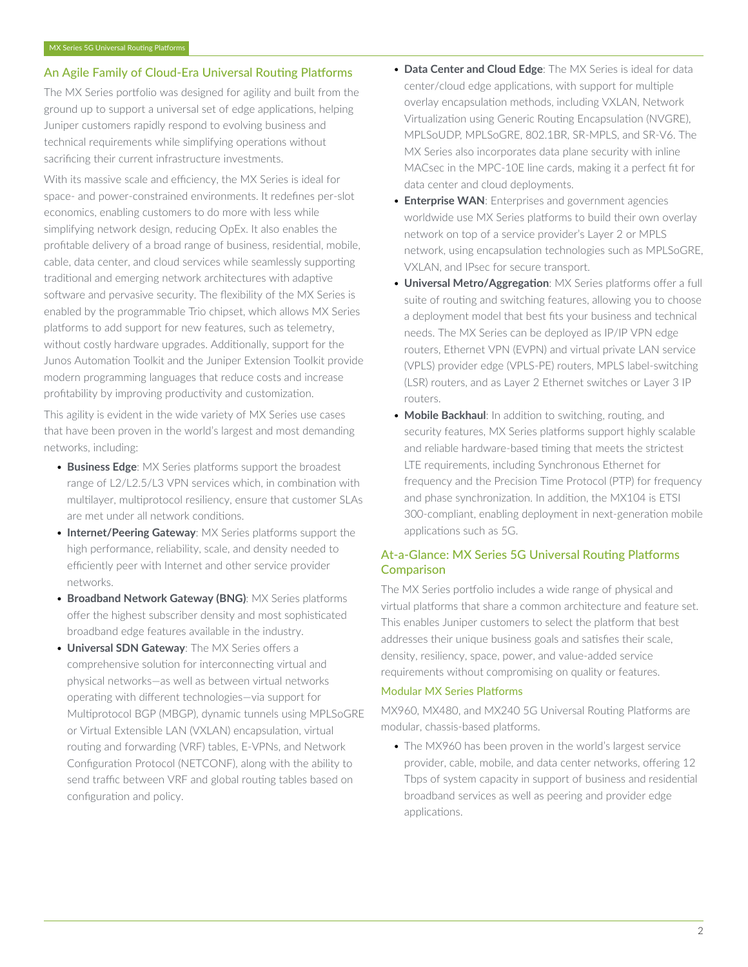# An Agile Family of Cloud-Era Universal Routing Platforms

The MX Series portfolio was designed for agility and built from the ground up to support a universal set of edge applications, helping Juniper customers rapidly respond to evolving business and technical requirements while simplifying operations without sacrificing their current infrastructure investments.

With its massive scale and efficiency, the MX Series is ideal for space- and power-constrained environments. It redefines per-slot economics, enabling customers to do more with less while simplifying network design, reducing OpEx. It also enables the profitable delivery of a broad range of business, residential, mobile, cable, data center, and cloud services while seamlessly supporting traditional and emerging network architectures with adaptive software and pervasive security. The flexibility of the MX Series is enabled by the programmable Trio chipset, which allows MX Series platforms to add support for new features, such as telemetry, without costly hardware upgrades. Additionally, support for the Junos Automation Toolkit and the Juniper Extension Toolkit provide modern programming languages that reduce costs and increase profitability by improving productivity and customization.

This agility is evident in the wide variety of MX Series use cases that have been proven in the world's largest and most demanding networks, including:

- **Business Edge**: MX Series platforms support the broadest range of L2/L2.5/L3 VPN services which, in combination with multilayer, multiprotocol resiliency, ensure that customer SLAs are met under all network conditions.
- **Internet/Peering Gateway**: MX Series platforms support the high performance, reliability, scale, and density needed to efficiently peer with Internet and other service provider networks.
- **Broadband Network Gateway (BNG)**: MX Series platforms offer the highest subscriber density and most sophisticated broadband edge features available in the industry.
- **Universal SDN Gateway**: The MX Series offers a comprehensive solution for interconnecting virtual and physical networks—as well as between virtual networks operating with different technologies—via support for Multiprotocol BGP (MBGP), dynamic tunnels using MPLSoGRE or Virtual Extensible LAN (VXLAN) encapsulation, virtual routing and forwarding (VRF) tables, E-VPNs, and Network Configuration Protocol (NETCONF), along with the ability to send traffic between VRF and global routing tables based on configuration and policy.
- **Data Center and Cloud Edge**: The MX Series is ideal for data center/cloud edge applications, with support for multiple overlay encapsulation methods, including VXLAN, Network Virtualization using Generic Routing Encapsulation (NVGRE), MPLSoUDP, MPLSoGRE, 802.1BR, SR-MPLS, and SR-V6. The MX Series also incorporates data plane security with inline MACsec in the MPC-10E line cards, making it a perfect fit for data center and cloud deployments.
- **Enterprise WAN**: Enterprises and government agencies worldwide use MX Series platforms to build their own overlay network on top of a service provider's Layer 2 or MPLS network, using encapsulation technologies such as MPLSoGRE, VXLAN, and IPsec for secure transport.
- **Universal Metro/Aggregation**: MX Series platforms offer a full suite of routing and switching features, allowing you to choose a deployment model that best fits your business and technical needs. The MX Series can be deployed as IP/IP VPN edge routers, Ethernet VPN (EVPN) and virtual private LAN service (VPLS) provider edge (VPLS-PE) routers, MPLS label-switching (LSR) routers, and as Layer 2 Ethernet switches or Layer 3 IP routers.
- **Mobile Backhaul**: In addition to switching, routing, and security features, MX Series platforms support highly scalable and reliable hardware-based timing that meets the strictest LTE requirements, including Synchronous Ethernet for frequency and the Precision Time Protocol (PTP) for frequency and phase synchronization. In addition, the MX104 is ETSI 300-compliant, enabling deployment in next-generation mobile applications such as 5G.

# At-a-Glance: MX Series 5G Universal Routing Platforms **Comparison**

The MX Series portfolio includes a wide range of physical and virtual platforms that share a common architecture and feature set. This enables Juniper customers to select the platform that best addresses their unique business goals and satisfies their scale, density, resiliency, space, power, and value-added service requirements without compromising on quality or features.

# Modular MX Series Platforms

MX960, MX480, and MX240 5G Universal Routing Platforms are modular, chassis-based platforms.

• The MX960 has been proven in the world's largest service provider, cable, mobile, and data center networks, offering 12 Tbps of system capacity in support of business and residential broadband services as well as peering and provider edge applications.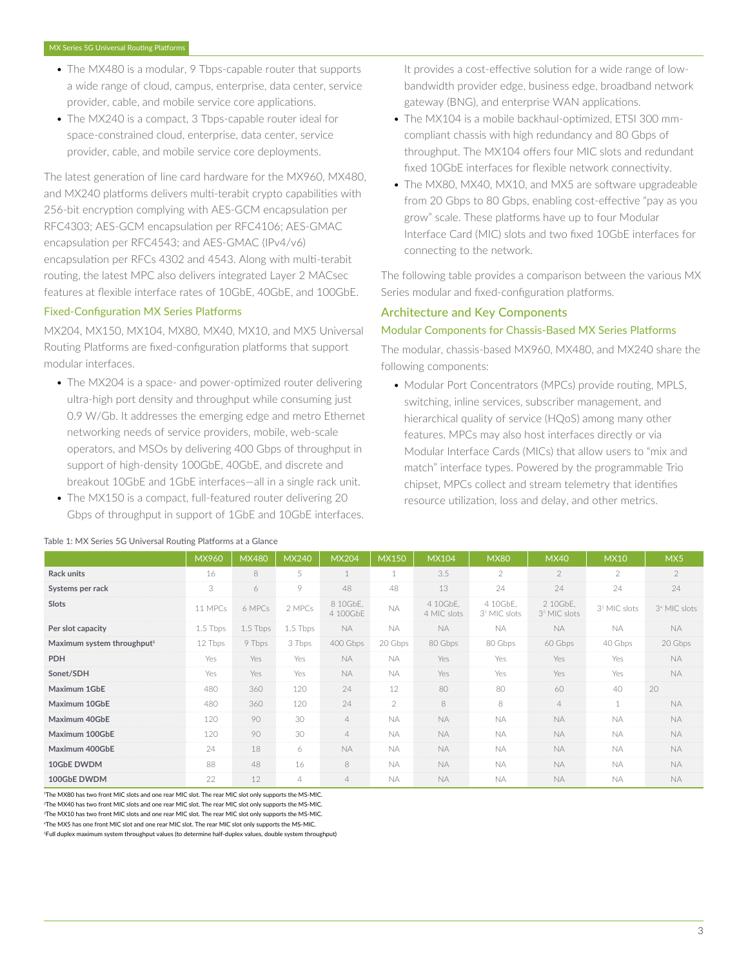- The MX480 is a modular, 9 Tbps-capable router that supports a wide range of cloud, campus, enterprise, data center, service provider, cable, and mobile service core applications.
- The MX240 is a compact, 3 Tbps-capable router ideal for space-constrained cloud, enterprise, data center, service provider, cable, and mobile service core deployments.

The latest generation of line card hardware for the MX960, MX480, and MX240 platforms delivers multi-terabit crypto capabilities with 256-bit encryption complying with AES-GCM encapsulation per RFC4303; AES-GCM encapsulation per RFC4106; AES-GMAC encapsulation per RFC4543; and AES-GMAC (IPv4/v6) encapsulation per RFCs 4302 and 4543. Along with multi-terabit routing, the latest MPC also delivers integrated Layer 2 MACsec features at flexible interface rates of 10GbE, 40GbE, and 100GbE.

#### Fixed-Configuration MX Series Platforms

MX204, MX150, MX104, MX80, MX40, MX10, and MX5 Universal Routing Platforms are fixed-configuration platforms that support modular interfaces.

- The MX204 is a space- and power-optimized router delivering ultra-high port density and throughput while consuming just 0.9 W/Gb. It addresses the emerging edge and metro Ethernet networking needs of service providers, mobile, web-scale operators, and MSOs by delivering 400 Gbps of throughput in support of high-density 100GbE, 40GbE, and discrete and breakout 10GbE and 1GbE interfaces—all in a single rack unit.
- The MX150 is a compact, full-featured router delivering 20 Gbps of throughput in support of 1GbE and 10GbE interfaces.

It provides a cost-effective solution for a wide range of lowbandwidth provider edge, business edge, broadband network gateway (BNG), and enterprise WAN applications.

- The MX104 is a mobile backhaul-optimized, ETSI 300 mmcompliant chassis with high redundancy and 80 Gbps of throughput. The MX104 offers four MIC slots and redundant fixed 10GbE interfaces for flexible network connectivity.
- The MX80, MX40, MX10, and MX5 are software upgradeable from 20 Gbps to 80 Gbps, enabling cost-effective "pay as you grow" scale. These platforms have up to four Modular Interface Card (MIC) slots and two fixed 10GbE interfaces for connecting to the network.

The following table provides a comparison between the various MX Series modular and fixed-configuration platforms.

# Architecture and Key Components

# Modular Components for Chassis-Based MX Series Platforms

The modular, chassis-based MX960, MX480, and MX240 share the following components:

• Modular Port Concentrators (MPCs) provide routing, MPLS, switching, inline services, subscriber management, and hierarchical quality of service (HQoS) among many other features. MPCs may also host interfaces directly or via Modular Interface Cards (MICs) that allow users to "mix and match" interface types. Powered by the programmable Trio chipset, MPCs collect and stream telemetry that identifies resource utilization, loss and delay, and other metrics.

|                                        | MX960      | <b>MX480</b> | <b>MX240</b> | <b>MX204</b>         | <b>MX150</b>  | <b>MX104</b>            | <b>MX80</b>                          | <b>MX40</b>                          | <b>MX10</b>              | MX5                      |
|----------------------------------------|------------|--------------|--------------|----------------------|---------------|-------------------------|--------------------------------------|--------------------------------------|--------------------------|--------------------------|
| Rack units                             | 16         | 8            | 5            | $\overline{1}$       | $\mathbf{1}$  | 3.5                     | $\mathfrak{D}$                       | $\mathfrak{D}$                       | $\mathfrak{D}$           | $\mathfrak{D}$           |
| Systems per rack                       | 3          | 6            | 9            | 48                   | 48            | 13                      | 24                                   | 24                                   | 24                       | 24                       |
| <b>Slots</b>                           | 11 MPCs    | 6 MPCs       | 2 MPCs       | 8 10GbE.<br>4 100GbE | <b>NA</b>     | 4 10GbE.<br>4 MIC slots | 4 10GbE.<br>3 <sup>1</sup> MIC slots | 2 10GbE.<br>3 <sup>2</sup> MIC slots | 3 <sup>3</sup> MIC slots | 3 <sup>4</sup> MIC slots |
| Per slot capacity                      | $1.5$ Tbps | 1.5 Tbps     | 1.5 Tbps     | NA.                  | NA.           | <b>NA</b>               | NA.                                  | NA.                                  | NA.                      | <b>NA</b>                |
| Maximum system throughput <sup>5</sup> | 12 Tbps    | 9 Tbps       | 3 Tbps       | 400 Gbps             | 20 Gbps       | 80 Gbps                 | 80 Gbps                              | 60 Gbps                              | 40 Gbps                  | 20 Gbps                  |
| <b>PDH</b>                             | Yes        | Yes          | Yes          | NA.                  | <b>NA</b>     | Yes                     | Yes                                  | Yes                                  | Yes                      | <b>NA</b>                |
| Sonet/SDH                              | Yes        | Yes          | Yes          | <b>NA</b>            | <b>NA</b>     | Yes                     | Yes                                  | Yes                                  | Yes                      | <b>NA</b>                |
| Maximum 1GbE                           | 480        | 360          | 120          | 24                   | 12            | 80                      | 80                                   | 60                                   | 40                       | 20                       |
| Maximum 10GbE                          | 480        | 360          | 120          | 24                   | $\mathcal{P}$ | 8                       | 8                                    | $\overline{4}$                       |                          | <b>NA</b>                |
| Maximum 40GbE                          | 120        | 90           | 30           | $\overline{4}$       | <b>NA</b>     | <b>NA</b>               | <b>NA</b>                            | <b>NA</b>                            | <b>NA</b>                | <b>NA</b>                |
| Maximum 100GbE                         | 120        | 90           | 30           | $\overline{4}$       | <b>NA</b>     | <b>NA</b>               | <b>NA</b>                            | <b>NA</b>                            | <b>NA</b>                | <b>NA</b>                |
| Maximum 400GbE                         | 24         | 18           | 6            | <b>NA</b>            | <b>NA</b>     | <b>NA</b>               | <b>NA</b>                            | <b>NA</b>                            | <b>NA</b>                | <b>NA</b>                |
| 10GbE DWDM                             | 88         | 48           | 16           | 8                    | <b>NA</b>     | <b>NA</b>               | <b>NA</b>                            | <b>NA</b>                            | <b>NA</b>                | <b>NA</b>                |
| 100GbE DWDM                            | 22         | 12           | 4            | $\overline{4}$       | NA.           | <b>NA</b>               | NA.                                  | <b>NA</b>                            | NA.                      | <b>NA</b>                |

#### Table 1: MX Series 5G Universal Routing Platforms at a Glance

The MX80 has two front MIC slots and one rear MIC slot. The rear MIC slot only supports the MS-MIC. The MX40 has two front MIC slots and one rear MIC slot. The rear MIC slot only supports the MS-MIC. <sup>3</sup>The MX10 has two front MIC slots and one rear MIC slot. The rear MIC slot only supports the MS-MIC. The MX5 has one front MIC slot and one rear MIC slot. The rear MIC slot only supports the MS-MIC.

<sup>5</sup>Full duplex maximum system throughput values (to determine half-duplex values, double system throughput)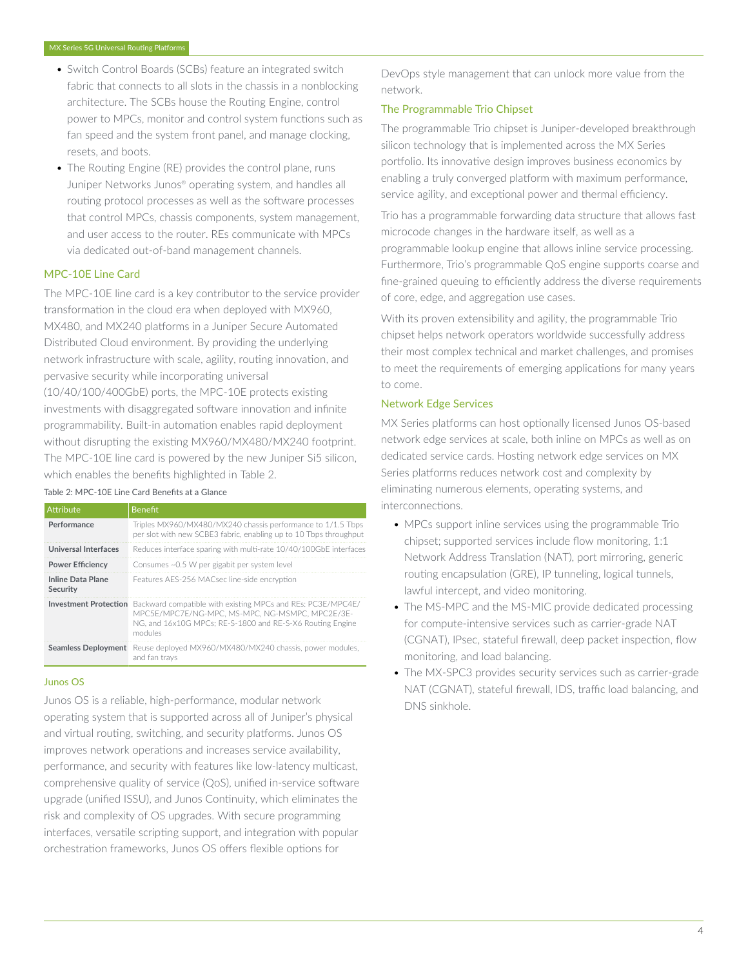- Switch Control Boards (SCBs) feature an integrated switch fabric that connects to all slots in the chassis in a nonblocking architecture. The SCBs house the Routing Engine, control power to MPCs, monitor and control system functions such as fan speed and the system front panel, and manage clocking, resets, and boots.
- The Routing Engine (RE) provides the control plane, runs Juniper Networks Junos® operating system, and handles all routing protocol processes as well as the software processes that control MPCs, chassis components, system management, and user access to the router. REs communicate with MPCs via dedicated out-of-band management channels.

# MPC-10E Line Card

The MPC-10E line card is a key contributor to the service provider transformation in the cloud era when deployed with MX960, MX480, and MX240 platforms in a Juniper Secure Automated Distributed Cloud environment. By providing the underlying network infrastructure with scale, agility, routing innovation, and pervasive security while incorporating universal (10/40/100/400GbE) ports, the MPC-10E protects existing investments with disaggregated software innovation and infinite programmability. Built-in automation enables rapid deployment without disrupting the existing MX960/MX480/MX240 footprint. The MPC-10E line card is powered by the new Juniper Si5 silicon, which enables the benefits highlighted in Table 2.

#### Table 2: MPC-10E Line Card Benefits at a Glance

| Attribute                            | <b>Benefit</b>                                                                                                                                                                         |
|--------------------------------------|----------------------------------------------------------------------------------------------------------------------------------------------------------------------------------------|
| Performance                          | Triples MX960/MX480/MX240 chassis performance to 1/1.5 Tbps<br>per slot with new SCBE3 fabric, enabling up to 10 Tbps throughput                                                       |
| Universal Interfaces                 | Reduces interface sparing with multi-rate 10/40/100GbE interfaces                                                                                                                      |
| <b>Power Efficiency</b>              | Consumes ~0.5 W per gigabit per system level                                                                                                                                           |
| <b>Inline Data Plane</b><br>Security | Features AES-256 MACsec line-side encryption                                                                                                                                           |
| <b>Investment Protection</b>         | Backward compatible with existing MPCs and REs: PC3E/MPC4E/<br>MPC5E/MPC7E/NG-MPC, MS-MPC, NG-MSMPC, MPC2E/3E-<br>NG, and 16x10G MPCs: RE-S-1800 and RE-S-X6 Routing Engine<br>modules |
| <b>Seamless Deployment</b>           | Reuse deployed MX960/MX480/MX240 chassis, power modules.<br>and fan travs                                                                                                              |

#### Junos OS

Junos OS is a reliable, high-performance, modular network operating system that is supported across all of Juniper's physical and virtual routing, switching, and security platforms. Junos OS improves network operations and increases service availability, performance, and security with features like low-latency multicast, comprehensive quality of service (QoS), unified in-service software upgrade (unified ISSU), and Junos Continuity, which eliminates the risk and complexity of OS upgrades. With secure programming interfaces, versatile scripting support, and integration with popular orchestration frameworks, Junos OS offers flexible options for

DevOps style management that can unlock more value from the network.

#### The Programmable Trio Chipset

The programmable Trio chipset is Juniper-developed breakthrough silicon technology that is implemented across the MX Series portfolio. Its innovative design improves business economics by enabling a truly converged platform with maximum performance, service agility, and exceptional power and thermal efficiency.

Trio has a programmable forwarding data structure that allows fast microcode changes in the hardware itself, as well as a programmable lookup engine that allows inline service processing. Furthermore, Trio's programmable QoS engine supports coarse and fine-grained queuing to efficiently address the diverse requirements of core, edge, and aggregation use cases.

With its proven extensibility and agility, the programmable Trio chipset helps network operators worldwide successfully address their most complex technical and market challenges, and promises to meet the requirements of emerging applications for many years to come.

# Network Edge Services

MX Series platforms can host optionally licensed Junos OS-based network edge services at scale, both inline on MPCs as well as on dedicated service cards. Hosting network edge services on MX Series platforms reduces network cost and complexity by eliminating numerous elements, operating systems, and interconnections.

- MPCs support inline services using the programmable Trio chipset; supported services include flow monitoring, 1:1 Network Address Translation (NAT), port mirroring, generic routing encapsulation (GRE), IP tunneling, logical tunnels, lawful intercept, and video monitoring.
- The MS-MPC and the MS-MIC provide dedicated processing for compute-intensive services such as carrier-grade NAT (CGNAT), IPsec, stateful firewall, deep packet inspection, flow monitoring, and load balancing.
- The MX-SPC3 provides security services such as carrier-grade NAT (CGNAT), stateful firewall, IDS, traffic load balancing, and DNS sinkhole.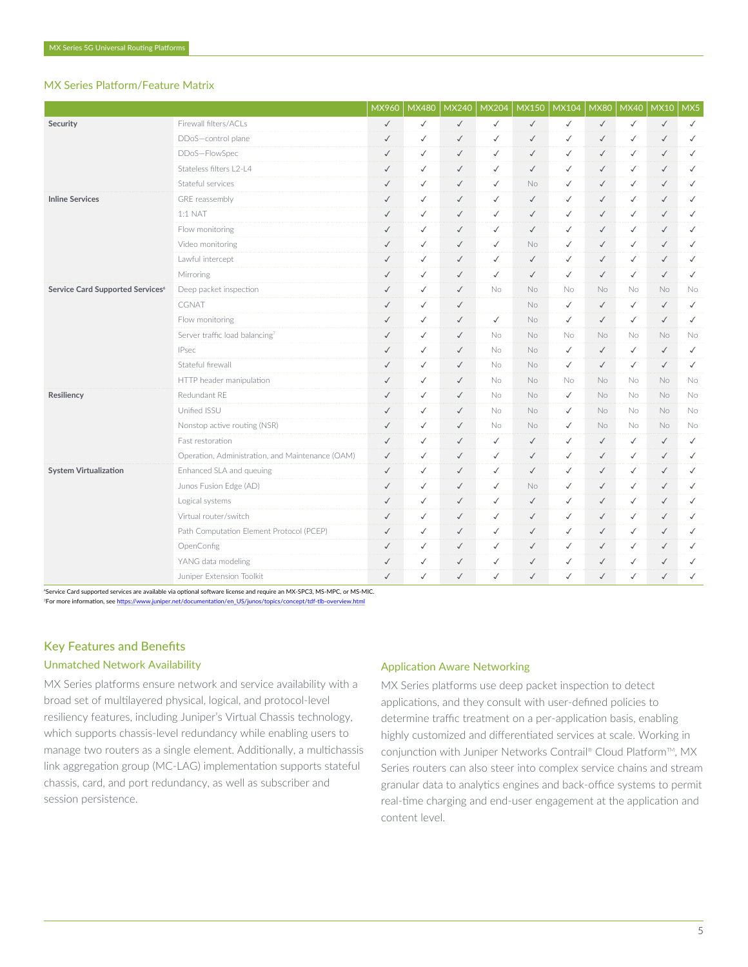# MX Series Platform/Feature Matrix

|                                  |                                                  | MX960        | <b>MX480</b> | <b>MX240</b> | <b>MX204</b> | <b>MX150</b> | <b>MX104</b> | <b>MX80</b>                                                                   | <b>MX40</b>  | <b>MX10</b>  | MX5          |
|----------------------------------|--------------------------------------------------|--------------|--------------|--------------|--------------|--------------|--------------|-------------------------------------------------------------------------------|--------------|--------------|--------------|
| Security                         | Firewall filters/ACLs                            | $\checkmark$ | ✓            | $\checkmark$ | $\checkmark$ | $\checkmark$ | $\checkmark$ | $\checkmark$                                                                  | $\checkmark$ | $\checkmark$ | $\checkmark$ |
|                                  | DDoS-control plane                               | $\checkmark$ | ✓            | $\checkmark$ | $\checkmark$ | $\checkmark$ | $\checkmark$ | $\checkmark$                                                                  | ✓            | $\checkmark$ | $\checkmark$ |
|                                  | DDoS-FlowSpec                                    | $\checkmark$ | ✓            | $\checkmark$ | $\checkmark$ | $\checkmark$ | $\checkmark$ | $\checkmark$                                                                  | ✓            | $\checkmark$ | $\checkmark$ |
|                                  | Stateless filters   2-14                         | $\checkmark$ | ✓            | $\checkmark$ | $\checkmark$ | $\checkmark$ | $\checkmark$ | $\checkmark$                                                                  | ✓            | $\checkmark$ | $\checkmark$ |
|                                  | Stateful services                                | $\checkmark$ | ✓            | $\checkmark$ | $\checkmark$ | No.          | $\checkmark$ | $\checkmark$                                                                  | ✓            | $\checkmark$ | $\checkmark$ |
| <b>Inline Services</b>           | GRE reassembly                                   | $\checkmark$ | ✓            | $\checkmark$ | $\checkmark$ | $\checkmark$ | $\checkmark$ | $\checkmark$                                                                  | $\checkmark$ | $\checkmark$ | $\checkmark$ |
|                                  | $1:1$ NAT                                        | $\checkmark$ | ✓            | $\checkmark$ | $\checkmark$ | $\checkmark$ | $\checkmark$ | $\checkmark$                                                                  | $\checkmark$ | $\checkmark$ | $\checkmark$ |
|                                  | Flow monitoring                                  | $\checkmark$ | ✓            | $\checkmark$ | $\checkmark$ | $\checkmark$ | $\checkmark$ | $\checkmark$                                                                  | ✓            | $\checkmark$ | $\checkmark$ |
|                                  | Video monitoring                                 | $\checkmark$ | ✓            | $\checkmark$ | $\checkmark$ | No           | $\checkmark$ | $\checkmark$                                                                  | $\checkmark$ | $\checkmark$ | $\checkmark$ |
|                                  | Lawful intercept                                 | $\checkmark$ | ✓            | $\checkmark$ | $\checkmark$ | $\checkmark$ | $\checkmark$ | $\checkmark$                                                                  | $\checkmark$ | $\checkmark$ | $\checkmark$ |
|                                  | Mirroring                                        | $\checkmark$ | ✓            | $\checkmark$ | $\checkmark$ | $\checkmark$ | $\checkmark$ | $\checkmark$                                                                  | ✓            | $\checkmark$ | $\checkmark$ |
| Service Card Supported Services® | Deep packet inspection                           | $\checkmark$ | ✓            | $\checkmark$ | No           | No           | No           | No                                                                            | No           | No           | No           |
|                                  | CGNAT                                            | $\checkmark$ | ✓            | $\checkmark$ |              | <b>No</b>    | $\checkmark$ | $\checkmark$                                                                  | $\checkmark$ | $\checkmark$ | $\checkmark$ |
|                                  | Flow monitoring                                  | $\checkmark$ | ✓            | $\checkmark$ | $\checkmark$ | <b>No</b>    | $\checkmark$ | $\checkmark$                                                                  | $\checkmark$ | $\checkmark$ | $\checkmark$ |
|                                  | Server traffic load balancing7                   | $\checkmark$ | $\checkmark$ | $\checkmark$ | <b>No</b>    | <b>No</b>    | No           | No.                                                                           | No.          | <b>No</b>    | No           |
|                                  | <b>IPsec</b>                                     | $\checkmark$ | ✓            | $\checkmark$ | No.          | No.          | $\checkmark$ | $\checkmark$                                                                  | ✓            | $\checkmark$ | $\checkmark$ |
|                                  | Stateful firewall                                | $\checkmark$ | ✓            | $\checkmark$ | <b>No</b>    | No.          | $\checkmark$ | $\checkmark$<br>$\checkmark$<br><b>No</b><br>No.<br>$\checkmark$<br><b>No</b> |              | $\checkmark$ | $\checkmark$ |
|                                  | HTTP header manipulation                         | $\checkmark$ | ✓            | $\checkmark$ | <b>No</b>    | <b>No</b>    |              |                                                                               | No.          | No           | No.          |
| Resiliency                       | Redundant RE                                     | $\checkmark$ | ✓            | $\checkmark$ | <b>No</b>    | No.          |              |                                                                               | No.          | No.          | <b>No</b>    |
|                                  | Unified ISSU                                     | $\checkmark$ | ✓            | $\checkmark$ | <b>No</b>    | No           | $\checkmark$ | <b>No</b>                                                                     | No.          | <b>No</b>    | No           |
|                                  | Nonstop active routing (NSR)                     | $\checkmark$ | ✓            | $\checkmark$ | No           | No.          | $\checkmark$ | No                                                                            | No.          | No           | No           |
|                                  | Fast restoration                                 | $\checkmark$ | ✓            | $\checkmark$ | $\checkmark$ | $\checkmark$ | $\checkmark$ | $\checkmark$                                                                  | ✓            | $\checkmark$ | $\checkmark$ |
|                                  | Operation, Administration, and Maintenance (OAM) | $\checkmark$ | ✓            | $\checkmark$ | $\checkmark$ | $\checkmark$ | $\checkmark$ | $\checkmark$                                                                  | $\checkmark$ | $\checkmark$ | $\checkmark$ |
| <b>System Virtualization</b>     | Enhanced SLA and queuing                         | $\checkmark$ | ✓            | $\checkmark$ | $\checkmark$ | $\checkmark$ | $\checkmark$ | $\checkmark$                                                                  | ✓            | $\checkmark$ | ✓            |
|                                  | Junos Fusion Edge (AD)                           | $\checkmark$ | ✓            | $\checkmark$ | $\checkmark$ | No.          | $\checkmark$ | $\checkmark$                                                                  | ✓            | $\checkmark$ | $\checkmark$ |
|                                  | Logical systems                                  | $\checkmark$ | ✓            | $\checkmark$ | $\checkmark$ | $\checkmark$ | $\checkmark$ | $\checkmark$                                                                  | $\checkmark$ | $\checkmark$ | $\checkmark$ |
|                                  | Virtual router/switch                            | $\checkmark$ | ✓            | $\checkmark$ | $\checkmark$ | $\checkmark$ | $\checkmark$ | $\checkmark$                                                                  | ✓            | $\checkmark$ | $\checkmark$ |
|                                  | Path Computation Element Protocol (PCEP)         | $\checkmark$ | ✓            | $\checkmark$ | $\checkmark$ | $\checkmark$ | $\checkmark$ | $\checkmark$                                                                  | $\checkmark$ | $\checkmark$ | $\checkmark$ |
|                                  | OpenConfig                                       | $\checkmark$ | ✓            | $\checkmark$ | $\checkmark$ | $\checkmark$ | $\checkmark$ | $\checkmark$                                                                  | $\checkmark$ | $\checkmark$ | $\checkmark$ |
|                                  | YANG data modeling                               | $\checkmark$ | ✓            | $\checkmark$ | $\checkmark$ | $\checkmark$ | $\checkmark$ | $\checkmark$                                                                  | $\checkmark$ | $\checkmark$ | $\checkmark$ |
|                                  | Juniper Extension Toolkit                        | $\checkmark$ | ✓            | $\checkmark$ | $\checkmark$ | $\checkmark$ | $\checkmark$ | $\checkmark$                                                                  | $\checkmark$ | $\checkmark$ | $\checkmark$ |

<sup>6</sup>Service Card supported services are available via optional software license and require an MX-SPC3, MS-MPC, or MS-MIC. <sup>7</sup>For more information, see [https://www.juniper.net/documentation/en\\_US/junos/topics/concept/tdf-tlb-overview.html](https://www.juniper.net/documentation/en_US/junos/topics/concept/tdf-tlb-overview.html)

# Key Features and Benefits

### Unmatched Network Availability

MX Series platforms ensure network and service availability with a broad set of multilayered physical, logical, and protocol-level resiliency features, including Juniper's Virtual Chassis technology, which supports chassis-level redundancy while enabling users to manage two routers as a single element. Additionally, a multichassis link aggregation group (MC-LAG) implementation supports stateful chassis, card, and port redundancy, as well as subscriber and session persistence.

#### Application Aware Networking

MX Series platforms use deep packet inspection to detect applications, and they consult with user-defined policies to determine traffic treatment on a per-application basis, enabling highly customized and differentiated services at scale. Working in conjunction with Juniper Networks Contrail® Cloud Platform™, MX Series routers can also steer into complex service chains and stream granular data to analytics engines and back-office systems to permit real-time charging and end-user engagement at the application and content level.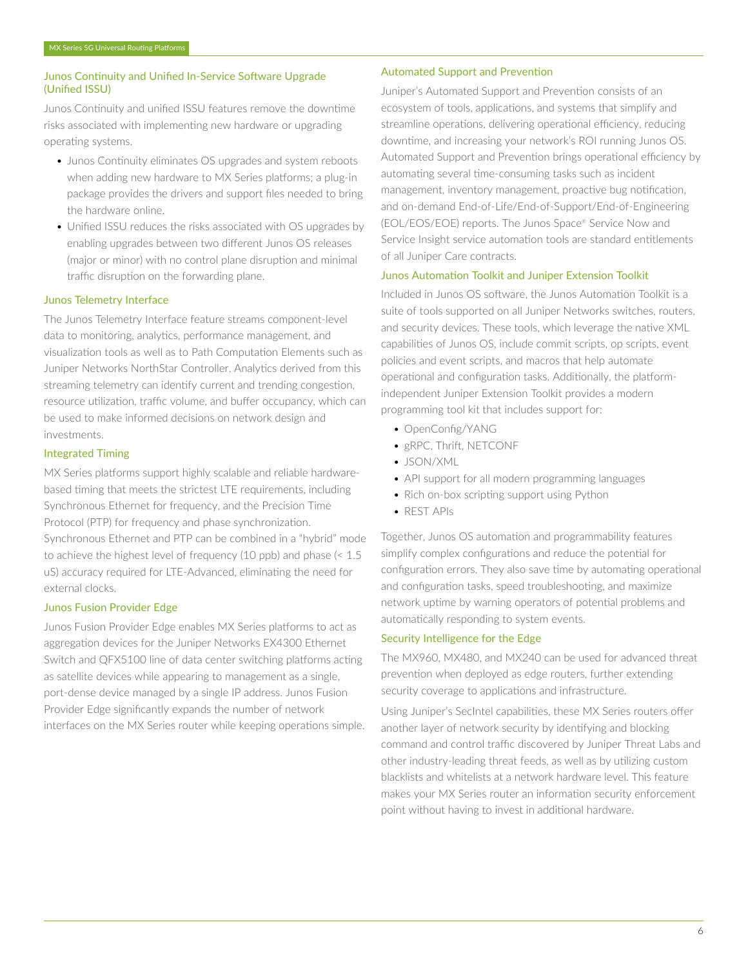#### Junos Continuity and Unified In-Service Software Upgrade (Unified ISSU)

Junos Continuity and unified ISSU features remove the downtime risks associated with implementing new hardware or upgrading operating systems.

- Junos Continuity eliminates OS upgrades and system reboots when adding new hardware to MX Series platforms; a plug-in package provides the drivers and support files needed to bring the hardware online.
- Unified ISSU reduces the risks associated with OS upgrades by enabling upgrades between two different Junos OS releases (major or minor) with no control plane disruption and minimal traffic disruption on the forwarding plane.

#### Junos Telemetry Interface

The Junos Telemetry Interface feature streams component-level data to monitoring, analytics, performance management, and visualization tools as well as to Path Computation Elements such as Juniper Networks NorthStar Controller. Analytics derived from this streaming telemetry can identify current and trending congestion, resource utilization, traffic volume, and buffer occupancy, which can be used to make informed decisions on network design and investments.

#### Integrated Timing

MX Series platforms support highly scalable and reliable hardwarebased timing that meets the strictest LTE requirements, including Synchronous Ethernet for frequency, and the Precision Time Protocol (PTP) for frequency and phase synchronization. Synchronous Ethernet and PTP can be combined in a "hybrid" mode to achieve the highest level of frequency (10 ppb) and phase (< 1.5 uS) accuracy required for LTE-Advanced, eliminating the need for external clocks.

# Junos Fusion Provider Edge

Junos Fusion Provider Edge enables MX Series platforms to act as aggregation devices for the Juniper Networks EX4300 Ethernet Switch and QFX5100 line of data center switching platforms acting as satellite devices while appearing to management as a single, port-dense device managed by a single IP address. Junos Fusion Provider Edge significantly expands the number of network interfaces on the MX Series router while keeping operations simple.

#### Automated Support and Prevention

Juniper's Automated Support and Prevention consists of an ecosystem of tools, applications, and systems that simplify and streamline operations, delivering operational efficiency, reducing downtime, and increasing your network's ROI running Junos OS. Automated Support and Prevention brings operational efficiency by automating several time-consuming tasks such as incident management, inventory management, proactive bug notification, and on-demand End-of-Life/End-of-Support/End-of-Engineering (EOL/EOS/EOE) reports. The Junos Space® Service Now and Service Insight service automation tools are standard entitlements of all Juniper Care contracts.

# Junos Automation Toolkit and Juniper Extension Toolkit

Included in Junos OS software, the Junos Automation Toolkit is a suite of tools supported on all Juniper Networks switches, routers, and security devices. These tools, which leverage the native XML capabilities of Junos OS, include commit scripts, op scripts, event policies and event scripts, and macros that help automate operational and configuration tasks. Additionally, the platformindependent Juniper Extension Toolkit provides a modern programming tool kit that includes support for:

- OpenConfig/YANG
- gRPC, Thrift, NETCONF
- JSON/XML
- API support for all modern programming languages
- Rich on-box scripting support using Python
- REST APIs

Together, Junos OS automation and programmability features simplify complex configurations and reduce the potential for configuration errors. They also save time by automating operational and configuration tasks, speed troubleshooting, and maximize network uptime by warning operators of potential problems and automatically responding to system events.

# Security Intelligence for the Edge

The MX960, MX480, and MX240 can be used for advanced threat prevention when deployed as edge routers, further extending security coverage to applications and infrastructure.

Using Juniper's SecIntel capabilities, these MX Series routers offer another layer of network security by identifying and blocking command and control traffic discovered by Juniper Threat Labs and other industry-leading threat feeds, as well as by utilizing custom blacklists and whitelists at a network hardware level. This feature makes your MX Series router an information security enforcement point without having to invest in additional hardware.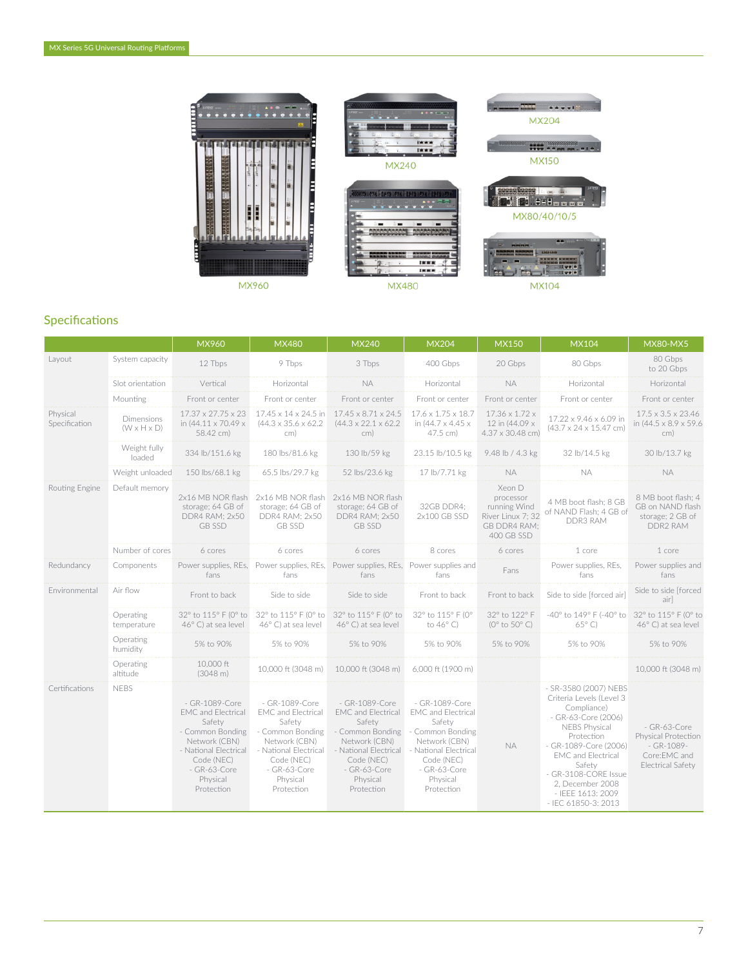

# Specifications

|                           |                                       | MX960                                                                                                                                                                       | <b>MX480</b>                                                                                                                                                                | <b>MX240</b>                                                                                                                                                                | <b>MX204</b>                                                                                                                                                                | <b>MX150</b>                                                                           | <b>MX104</b>                                                                                                                                                                                                                                                                          | <b>MX80-MX5</b>                                                                                 |
|---------------------------|---------------------------------------|-----------------------------------------------------------------------------------------------------------------------------------------------------------------------------|-----------------------------------------------------------------------------------------------------------------------------------------------------------------------------|-----------------------------------------------------------------------------------------------------------------------------------------------------------------------------|-----------------------------------------------------------------------------------------------------------------------------------------------------------------------------|----------------------------------------------------------------------------------------|---------------------------------------------------------------------------------------------------------------------------------------------------------------------------------------------------------------------------------------------------------------------------------------|-------------------------------------------------------------------------------------------------|
| Layout                    | System capacity                       | 12 Tbps                                                                                                                                                                     | 9 Tbps                                                                                                                                                                      | 3 Tbps                                                                                                                                                                      | 400 Gbps                                                                                                                                                                    | 20 Gbps                                                                                | 80 Gbps                                                                                                                                                                                                                                                                               | 80 Gbps<br>to 20 Gbps                                                                           |
|                           | Slot orientation                      | Vertical                                                                                                                                                                    | Horizontal                                                                                                                                                                  | <b>NA</b>                                                                                                                                                                   | Horizontal                                                                                                                                                                  | <b>NA</b>                                                                              | Horizontal                                                                                                                                                                                                                                                                            | Horizontal                                                                                      |
|                           | Mounting                              | Front or center                                                                                                                                                             | Front or center                                                                                                                                                             | Front or center                                                                                                                                                             | Front or center                                                                                                                                                             | Front or center                                                                        | Front or center                                                                                                                                                                                                                                                                       | Front or center                                                                                 |
| Physical<br>Specification | Dimensions<br>$(W \times H \times D)$ | $17.37 \times 27.75 \times 23$<br>in (44.11 x 70.49 x<br>58.42 cm)                                                                                                          | 17.45 x 14 x 24.5 in<br>$(44.3 \times 35.6 \times 62.2)$<br>cm)                                                                                                             | $17.45 \times 8.71 \times 24.5$<br>$(44.3 \times 22.1 \times 62.2)$<br>cm)                                                                                                  | $17.6 \times 1.75 \times 18.7$<br>in (44.7 x 4.45 x<br>47.5 cm)                                                                                                             | 17.36 x 1.72 x<br>12 in (44.09 x<br>4.37 x 30.48 cm)                                   | 17.22 x 9.46 x 6.09 in<br>$(43.7 \times 24 \times 15.47$ cm)                                                                                                                                                                                                                          | $17.5 \times 3.5 \times 23.46$<br>in (44.5 x 8.9 x 59.6)<br>cm)                                 |
|                           | Weight fully<br>loaded                | 334 lb/151.6 kg                                                                                                                                                             | 180 lbs/81.6 kg                                                                                                                                                             | 130 lb/59 kg                                                                                                                                                                | 23.15 lb/10.5 kg                                                                                                                                                            | 9.48 lb / 4.3 kg                                                                       | 32 lb/14.5 kg                                                                                                                                                                                                                                                                         | 30 lb/13.7 kg                                                                                   |
|                           | Weight unloaded                       | 150 lbs/68.1 kg                                                                                                                                                             | 65.5 lbs/29.7 kg                                                                                                                                                            | 52 lbs/23.6 kg                                                                                                                                                              | 17 lb/7.71 kg                                                                                                                                                               | <b>NA</b>                                                                              | <b>NA</b>                                                                                                                                                                                                                                                                             | <b>NA</b>                                                                                       |
| Routing Engine            | Default memory                        | 2x16 MB NOR flash<br>storage; 64 GB of<br>DDR4 RAM; 2x50<br><b>GB SSD</b>                                                                                                   | 2x16 MB NOR flash<br>storage; 64 GB of<br>DDR4 RAM; 2x50<br><b>GB SSD</b>                                                                                                   | 2x16 MB NOR flash<br>storage; 64 GB of<br>DDR4 RAM; 2x50<br><b>GB SSD</b>                                                                                                   | 32GB DDR4;<br>2x100 GB SSD                                                                                                                                                  | Xeon D<br>processor<br>running Wind<br>River Linux 7: 32<br>GB DDR4 RAM;<br>400 GB SSD | 4 MB boot flash; 8 GB<br>of NAND Flash; 4 GB of<br><b>DDR3 RAM</b>                                                                                                                                                                                                                    | 8 MB boot flash: 4<br>GB on NAND flash<br>storage: 2 GB of<br>DDR2 RAM                          |
|                           | Number of cores                       | 6 cores                                                                                                                                                                     | 6 cores                                                                                                                                                                     | 6 cores                                                                                                                                                                     | 8 cores                                                                                                                                                                     | 6 cores                                                                                | 1 core                                                                                                                                                                                                                                                                                | 1 core                                                                                          |
| Redundancy                | Components                            | Power supplies, REs,<br>fans                                                                                                                                                | fans                                                                                                                                                                        | Power supplies, REs, Power supplies, REs, Power supplies and<br>fans                                                                                                        | fans                                                                                                                                                                        | Fans                                                                                   | Power supplies, REs,<br>fans                                                                                                                                                                                                                                                          | Power supplies and<br>fans                                                                      |
| Environmental             | Air flow                              | Front to back                                                                                                                                                               | Side to side                                                                                                                                                                | Side to side                                                                                                                                                                | Front to back                                                                                                                                                               | Front to back                                                                          | Side to side [forced air]                                                                                                                                                                                                                                                             | Side to side [forced<br>air]                                                                    |
|                           | Operating<br>temperature              | 32° to 115° F (0° to<br>$46^{\circ}$ C) at sea level                                                                                                                        | 32° to 115° F (0° to<br>46° C) at sea level                                                                                                                                 | 32° to 115° F (0° to<br>46°C) at sea level                                                                                                                                  | 32° to 115° F (0°<br>to $46^{\circ}$ C)                                                                                                                                     | 32° to 122° F<br>( $0^\circ$ to $50^\circ$ C)                                          | -40° to 149° F (-40° to<br>$65^{\circ}$ C)                                                                                                                                                                                                                                            | 32° to 115° F (0° to<br>46° C) at sea level                                                     |
|                           | Operating<br>humidity                 | 5% to 90%                                                                                                                                                                   | 5% to 90%                                                                                                                                                                   | 5% to 90%                                                                                                                                                                   | 5% to 90%                                                                                                                                                                   | 5% to 90%                                                                              | 5% to 90%                                                                                                                                                                                                                                                                             | 5% to 90%                                                                                       |
|                           | Operating<br>altitude                 | 10,000 ft<br>$(3048 \text{ m})$                                                                                                                                             | 10,000 ft (3048 m)                                                                                                                                                          | 10,000 ft (3048 m)                                                                                                                                                          | 6,000 ft (1900 m)                                                                                                                                                           |                                                                                        |                                                                                                                                                                                                                                                                                       | 10,000 ft (3048 m)                                                                              |
| Certifications            | <b>NEBS</b>                           | - GR-1089-Core<br><b>EMC</b> and Electrical<br>Safety<br>- Common Bonding<br>Network (CBN)<br>- National Electrical<br>Code (NEC)<br>- GR-63-Core<br>Physical<br>Protection | - GR-1089-Core<br><b>EMC</b> and Electrical<br>Safety<br>- Common Bonding<br>Network (CBN)<br>- National Electrical<br>Code (NEC)<br>- GR-63-Core<br>Physical<br>Protection | - GR-1089-Core<br><b>EMC</b> and Electrical<br>Safety<br>- Common Bonding<br>Network (CBN)<br>- National Electrical<br>Code (NEC)<br>- GR-63-Core<br>Physical<br>Protection | - GR-1089-Core<br><b>EMC</b> and Electrical<br>Safety<br>- Common Bonding<br>Network (CBN)<br>- National Electrical<br>Code (NEC)<br>- GR-63-Core<br>Physical<br>Protection | <b>NA</b>                                                                              | - SR-3580 (2007) NEBS<br>Criteria Levels (Level 3<br>Compliance)<br>- GR-63-Core (2006)<br><b>NEBS Physical</b><br>Protection<br>- GR-1089-Core (2006)<br><b>EMC</b> and Electrical<br>Safety<br>- GR-3108-CORE Issue<br>2, December 2008<br>- IEEE 1613: 2009<br>- IEC 61850-3: 2013 | - GR-63-Core<br>Physical Protection<br>$-$ GR-1089-<br>Core:EMC and<br><b>Electrical Safety</b> |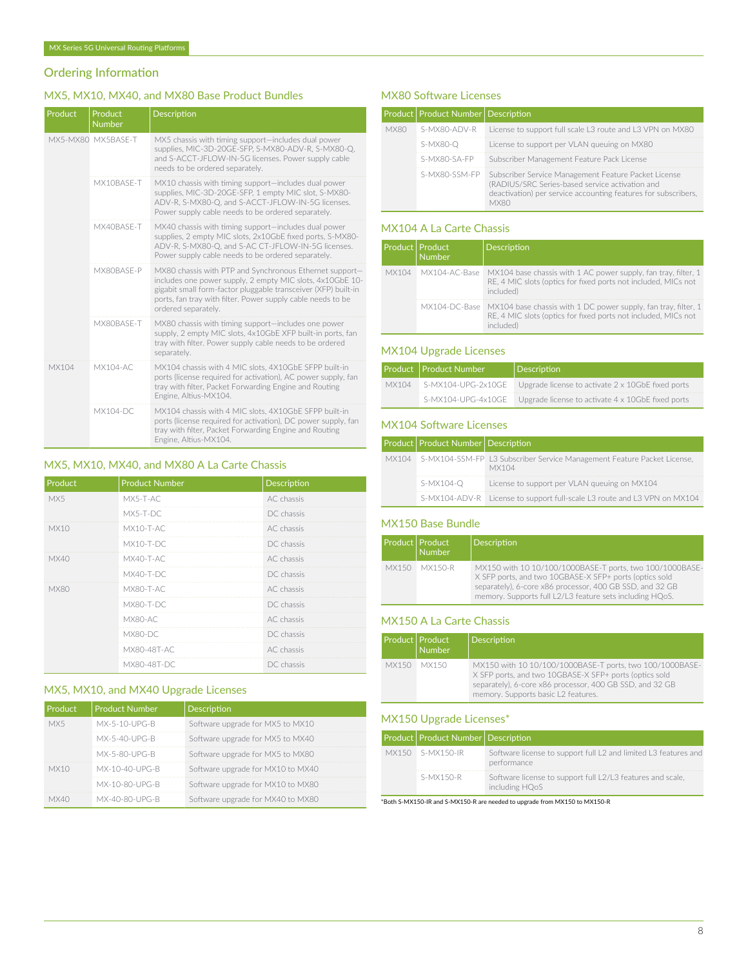# Ordering Information

# MX5, MX10, MX40, and MX80 Base Product Bundles

| Product | Product<br><b>Number</b> | <b>Description</b>                                                                                                                                                                                                                                                           |
|---------|--------------------------|------------------------------------------------------------------------------------------------------------------------------------------------------------------------------------------------------------------------------------------------------------------------------|
|         | MX5-MX80 MX5BASF-T       | MX5 chassis with timing support-includes dual power<br>supplies, MIC-3D-20GE-SFP, S-MX80-ADV-R, S-MX80-Q,<br>and S-ACCT-JFLOW-IN-5G licenses. Power supply cable<br>needs to be ordered separately.                                                                          |
|         | MX10BASF-T               | MX10 chassis with timing support-includes dual power<br>supplies, MIC-3D-20GE-SFP, 1 empty MIC slot, S-MX80-<br>ADV-R, S-MX80-Q, and S-ACCT-JFLOW-IN-5G licenses.<br>Power supply cable needs to be ordered separately.                                                      |
|         | MX40BASF-T               | MX40 chassis with timing support-includes dual power<br>supplies, 2 empty MIC slots, 2x10GbE fixed ports, S-MX80-<br>ADV-R, S-MX80-Q, and S-AC CT-JFLOW-IN-5G licenses.<br>Power supply cable needs to be ordered separately.                                                |
|         | MX80BASF-P               | MX80 chassis with PTP and Synchronous Ethernet support-<br>includes one power supply, 2 empty MIC slots, 4x10GbE 10-<br>gigabit small form-factor pluggable transceiver (XFP) built-in<br>ports, fan tray with filter. Power supply cable needs to be<br>ordered separately. |
|         | MX80BASF-T               | MX80 chassis with timing support-includes one power<br>supply, 2 empty MIC slots, 4x10GbE XFP built-in ports, fan<br>tray with filter. Power supply cable needs to be ordered<br>separately.                                                                                 |
| MX104   | <b>MX104-AC</b>          | MX104 chassis with 4 MIC slots, 4X10GbE SFPP built-in<br>ports (license required for activation), AC power supply, fan<br>tray with filter, Packet Forwarding Engine and Routing<br>Engine, Altius-MX104.                                                                    |
|         | <b>MX104-DC</b>          | MX104 chassis with 4 MIC slots, 4X10GbE SFPP built-in<br>ports (license required for activation), DC power supply, fan<br>tray with filter, Packet Forwarding Engine and Routing<br>Engine, Altius-MX104.                                                                    |

# MX5, MX10, MX40, and MX80 A La Carte Chassis

| Product     | <b>Product Number</b> | Description |
|-------------|-----------------------|-------------|
| MX5         | MX5-T-AC              | AC chassis  |
|             | MX5-T-DC              | DC chassis  |
| <b>MX10</b> | $MX10-T-AC$           | AC chassis  |
|             | $MX10-T-DC$           | DC chassis  |
| MX40        | MX40-T-AC             | AC chassis  |
|             | $MX40-T-DC$           | DC chassis  |
| <b>MX80</b> | MX80-T-AC             | AC chassis  |
|             | <b>MX80-T-DC</b>      | DC chassis  |
|             | MX80-AC               | AC chassis  |
|             | MX80-DC               | DC chassis  |
|             | MX80-48T-AC           | AC chassis  |
|             | MX80-48T-DC           | DC chassis  |

# MX5, MX10, and MX40 Upgrade Licenses

| Product | <b>Product Number</b> | Description                       |
|---------|-----------------------|-----------------------------------|
| MX5     | $MX-5-10-UPG-R$       | Software upgrade for MX5 to MX10  |
|         | MX-5-40-UPG-B         | Software upgrade for MX5 to MX40  |
|         | MX-5-80-UPG-B         | Software upgrade for MX5 to MX80  |
| MX10    | MX-10-40-UPG-R        | Software upgrade for MX10 to MX40 |
|         | MX-10-80-UPG-B        | Software upgrade for MX10 to MX80 |
|         | MX-40-80-UPG-B        | Software upgrade for MX40 to MX80 |

# MX80 Software Licenses

|      | Product   Product Number   Description |                                                                                                                                                                                          |
|------|----------------------------------------|------------------------------------------------------------------------------------------------------------------------------------------------------------------------------------------|
| MX80 | S-MX80-ADV-R                           | License to support full scale L3 route and L3 VPN on MX80                                                                                                                                |
|      | $S-MX80-O$                             | License to support per VLAN queuing on MX80                                                                                                                                              |
|      | S-MX80-SA-FP                           | Subscriber Management Feature Pack License                                                                                                                                               |
|      | S-MX80-SSM-FP                          | Subscriber Service Management Feature Packet License<br>(RADIUS/SRC Series-based service activation and<br>deactivation) per service accounting features for subscribers,<br><b>MYRO</b> |

# MX104 A La Carte Chassis

| Product   Product | <b>Number</b> | Description                                                                                                                                                       |
|-------------------|---------------|-------------------------------------------------------------------------------------------------------------------------------------------------------------------|
|                   |               | MX104 MX104-AC-Base MX104 base chassis with 1 AC power supply, fan tray, filter, 1<br>RE, 4 MIC slots (optics for fixed ports not included, MICs not<br>included) |
|                   |               | MX104-DC-Base MX104 base chassis with 1 DC power supply, fan tray, filter, 1<br>RE, 4 MIC slots (optics for fixed ports not included, MICs not<br>included)       |

# MX104 Upgrade Licenses

|       | Product   Product Number | Description                                                          |  |
|-------|--------------------------|----------------------------------------------------------------------|--|
| MX104 |                          | S-MX104-UPG-2x10GE Upgrade license to activate 2 x 10GbE fixed ports |  |
|       |                          | S-MX104-UPG-4x10GE Upgrade license to activate 4 x 10GbE fixed ports |  |

# MX104 Software Licenses

| Product   Product Number   Description |                                                                                        |
|----------------------------------------|----------------------------------------------------------------------------------------|
|                                        | MX104 S-MX104-SSM-FP L3 Subscriber Service Management Feature Packet License,<br>MX104 |
| S-MX104-O                              | License to support per VLAN queuing on MX104                                           |
|                                        | S-MX104-ADV-R License to support full-scale L3 route and L3 VPN on MX104               |

#### MX150 Base Bundle

| Product   Product | Number        | <b>Description</b>                                                                                                                                                                                                                         |
|-------------------|---------------|--------------------------------------------------------------------------------------------------------------------------------------------------------------------------------------------------------------------------------------------|
|                   | MX150 MX150-R | MX150 with 10 10/100/1000BASE-T ports, two 100/1000BASE-<br>X SFP ports, and two 10GBASE-X SFP+ ports (optics sold<br>separately), 6-core x86 processor, 400 GB SSD, and 32 GB<br>memory. Supports full L2/L3 feature sets including HQoS. |

# MX150 A La Carte Chassis

| Product   Product | <b>Number</b> | Description                                                                                                                                                                                                           |
|-------------------|---------------|-----------------------------------------------------------------------------------------------------------------------------------------------------------------------------------------------------------------------|
| <b>MX150</b>      | MX150         | MX150 with 10 10/100/1000BASE-T ports, two 100/1000BASE-<br>X SFP ports, and two 10GBASE-X SFP+ ports (optics sold<br>separately), 6-core x86 processor, 400 GB SSD, and 32 GB<br>memory. Supports basic L2 features. |

# MX150 Upgrade Licenses\*

| Product Product Number Description |                                                                                |
|------------------------------------|--------------------------------------------------------------------------------|
| MX150 S-MX150-IR                   | Software license to support full L2 and limited L3 features and<br>performance |
| S-MX150-R                          | Software license to support full L2/L3 features and scale,<br>including HQoS   |

\*Both S-MX150-IR and S-MX150-R are needed to upgrade from MX150 to MX150-R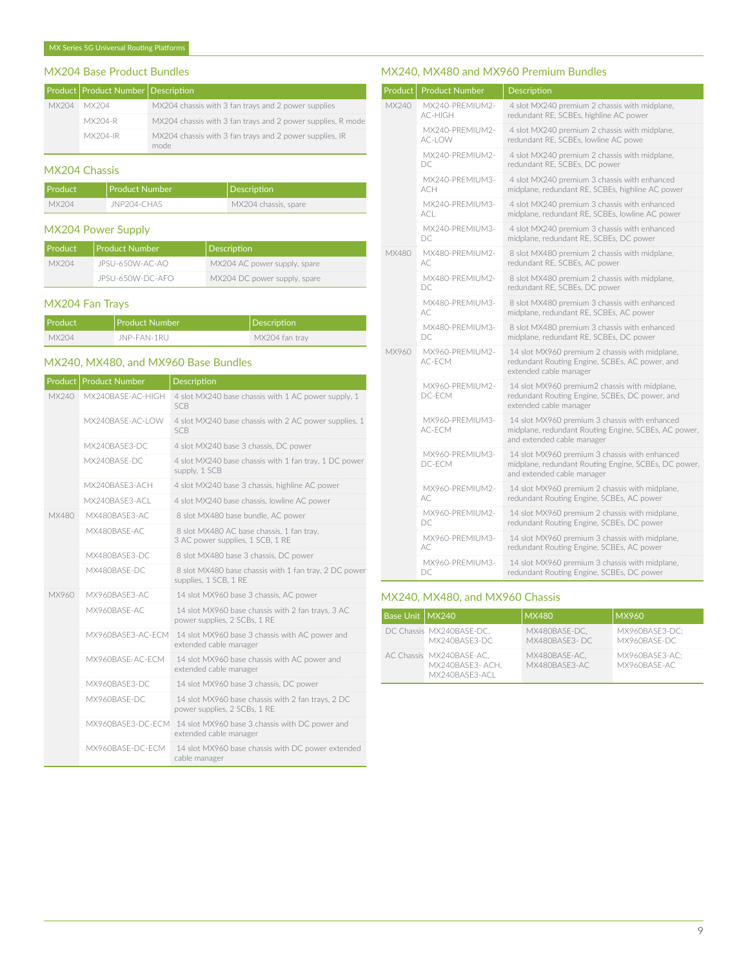# MX204 Base Product Bundles

|       | Product   Product Number   Description |                                                             |
|-------|----------------------------------------|-------------------------------------------------------------|
| MX204 | MX204                                  | MX204 chassis with 3 fan trays and 2 power supplies         |
|       | MX204-R                                | MX204 chassis with 3 fan trays and 2 power supplies, R mode |
|       | MX204-IR                               | MX204 chassis with 3 fan trays and 2 power supplies, IR     |

#### MX204 Chassis

| Product | l Product Number | Description          |
|---------|------------------|----------------------|
| MX204   | JNP204-CHAS      | MX204 chassis, spare |

# MX204 Power Supply

| l Product | <b>Product Number</b> | Description                  |
|-----------|-----------------------|------------------------------|
| MX204     | JPSU-650W-AC-AO       | MX204 AC power supply, spare |
|           | JPSU-650W-DC-AFO      | MX204 DC power supply, spare |

# MX204 Fan Trays

| Product | Product Number     | Description    |
|---------|--------------------|----------------|
| MX204   | <b>JNP-FAN-1RU</b> | MX204 fan trav |

# MX240, MX480, and MX960 Base Bundles

| Product | <b>Product Number</b> | Description                                                                       |
|---------|-----------------------|-----------------------------------------------------------------------------------|
| MX240   | MX240BASF-AC-HIGH     | 4 slot MX240 base chassis with 1 AC power supply, 1<br><b>SCB</b>                 |
|         | MX240BASF-AC-LOW      | 4 slot MX240 base chassis with 2 AC power supplies, 1<br><b>SCB</b>               |
|         | MX240BASE3-DC         | 4 slot MX240 base 3 chassis, DC power                                             |
|         | MX240BASF-DC          | 4 slot MX240 base chassis with 1 fan tray, 1 DC power<br>supply, 1 SCB            |
|         | MX240BASE3-ACH        | 4 slot MX240 base 3 chassis, highline AC power                                    |
|         | MX240BASE3-ACL        | 4 slot MX240 base chassis, lowline AC power                                       |
| MX480   | MX480BASE3-AC         | 8 slot MX480 base bundle, AC power                                                |
|         | MX480BASF-AC          | 8 slot MX480 AC base chassis, 1 fan tray,<br>3 AC power supplies, 1 SCB, 1 RE     |
|         | MX480BASE3-DC         | 8 slot MX480 base 3 chassis, DC power                                             |
|         | MX480BASF-DC          | 8 slot MX480 base chassis with 1 fan tray, 2 DC power<br>supplies, 1 SCB, 1 RE    |
| MX960   | MX960BASE3-AC         | 14 slot MX960 base 3 chassis, AC power                                            |
|         | MX960BASE-AC          | 14 slot MX960 base chassis with 2 fan trays, 3 AC<br>power supplies, 2 SCBs, 1 RE |
|         | MX960BASE3-AC-ECM     | 14 slot MX960 base 3 chassis with AC power and<br>extended cable manager          |
|         | MX960BASF-AC-FCM      | 14 slot MX960 base chassis with AC power and<br>extended cable manager            |
|         | MX960BASE3-DC         | 14 slot MX960 base 3 chassis, DC power                                            |
|         | MX960BASE-DC          | 14 slot MX960 base chassis with 2 fan trays, 2 DC<br>power supplies, 2 SCBs, 1 RE |
|         | MX960BASE3-DC-FCM     | 14 slot MX960 base 3 chassis with DC power and<br>extended cable manager          |
|         | MX960BASF-DC-FCM      | 14 slot MX960 base chassis with DC power extended<br>cable manager                |

# MX240, MX480 and MX960 Premium Bundles

| Product | <b>Product Number</b>      | Description                                                                                                                         |
|---------|----------------------------|-------------------------------------------------------------------------------------------------------------------------------------|
| MX240   | MX240-PREMIUM2-<br>AC-HIGH | 4 slot MX240 premium 2 chassis with midplane,<br>redundant RE, SCBEs, highline AC power                                             |
|         | MX240-PREMIUM2-<br>AC-LOW  | 4 slot MX240 premium 2 chassis with midplane,<br>redundant RE, SCBEs, lowline AC powe                                               |
|         | MX240-PRFMIUM2-<br>DC.     | 4 slot MX240 premium 2 chassis with midplane,<br>redundant RE, SCBEs, DC power                                                      |
|         | MX240-PREMIUM3-<br>ach     | 4 slot MX240 premium 3 chassis with enhanced<br>midplane, redundant RE, SCBEs, highline AC power                                    |
|         | MX240-PREMIUM3-<br>ACL     | 4 slot MX240 premium 3 chassis with enhanced<br>midplane, redundant RE, SCBEs, lowline AC power                                     |
|         | MX240-PREMIUM3-<br>DC.     | 4 slot MX240 premium 3 chassis with enhanced<br>midplane, redundant RE, SCBEs, DC power                                             |
| MX480   | MX480-PREMIUM2-<br>AC.     | 8 slot MX480 premium 2 chassis with midplane,<br>redundant RE, SCBEs, AC power                                                      |
|         | MX480-PREMIUM2-<br>DC      | 8 slot MX480 premium 2 chassis with midplane,<br>redundant RE, SCBEs, DC power                                                      |
|         | MX480-PREMIUM3-<br>AC.     | 8 slot MX480 premium 3 chassis with enhanced<br>midplane, redundant RE, SCBEs, AC power                                             |
|         | MX480-PREMIUM3-<br>DC.     | 8 slot MX480 premium 3 chassis with enhanced<br>midplane, redundant RE, SCBEs, DC power                                             |
| MX960   | MX960-PREMIUM2-<br>AC-ECM  | 14 slot MX960 premium 2 chassis with midplane,<br>redundant Routing Engine, SCBEs, AC power, and<br>extended cable manager          |
|         | MX960-PREMIUM2-<br>DC-ECM  | 14 slot MX960 premium2 chassis with midplane,<br>redundant Routing Engine, SCBEs, DC power, and<br>extended cable manager           |
|         | MX960-PREMIUM3-<br>AC-ECM  | 14 slot MX960 premium 3 chassis with enhanced<br>midplane, redundant Routing Engine, SCBEs, AC power,<br>and extended cable manager |
|         | MX960-PREMIUM3-<br>DC-ECM  | 14 slot MX960 premium 3 chassis with enhanced<br>midplane, redundant Routing Engine, SCBEs, DC power,<br>and extended cable manager |
|         | MX960-PREMIUM2-<br>AC.     | 14 slot MX960 premium 2 chassis with midplane,<br>redundant Routing Engine, SCBEs, AC power                                         |
|         | MX960-PREMIUM2-<br>DC.     | 14 slot MX960 premium 2 chassis with midplane,<br>redundant Routing Engine, SCBEs, DC power                                         |
|         | MX960-PREMIUM3-<br>AC.     | 14 slot MX960 premium 3 chassis with midplane,<br>redundant Routing Engine, SCBEs, AC power                                         |
|         | MX960-PREMIUM3-<br>DC      | 14 slot MX960 premium 3 chassis with midplane,<br>redundant Routing Engine, SCBEs, DC power                                         |

# MX240, MX480, and MX960 Chassis

| Base Unit   MX240 |                                                               | MX480                          | <b>MX960</b>                   |
|-------------------|---------------------------------------------------------------|--------------------------------|--------------------------------|
|                   | DC Chassis MX240BASE-DC.<br>MX240BASE3-DC                     | MX480BASE-DC.<br>MX480BASE3-DC | MX960BASE3-DC:<br>MX960BASE-DC |
|                   | AC Chassis MX240BASE-AC.<br>MX240BASE3-ACH.<br>MX240BASE3-ACL | MX480BASE-AC.<br>MX480BASE3-AC | MX960BASE3-AC:<br>MX960BASE-AC |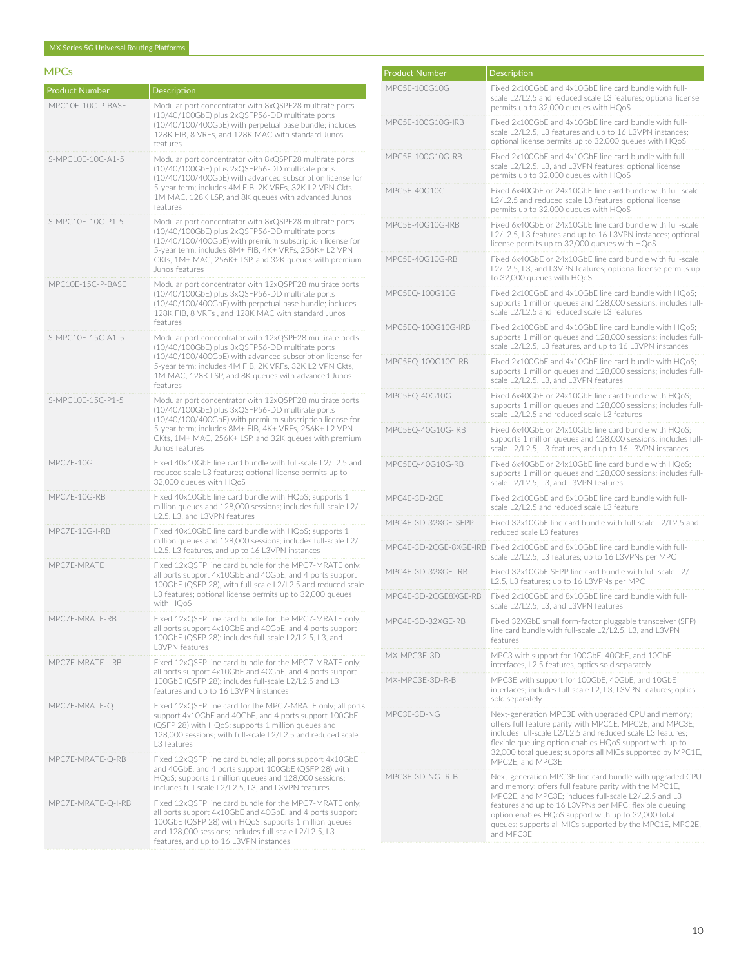# MPCs

| <b>Product Number</b> | <b>Description</b>                                                                                                                                                                                                                                                                                          |
|-----------------------|-------------------------------------------------------------------------------------------------------------------------------------------------------------------------------------------------------------------------------------------------------------------------------------------------------------|
| MPC10E-10C-P-BASE     | Modular port concentrator with 8xQSPF28 multirate ports<br>(10/40/100GbE) plus 2xQSFP56-DD multirate ports<br>(10/40/100/400GbE) with perpetual base bundle; includes<br>128K FIB, 8 VRFs, and 128K MAC with standard Junos<br>features                                                                     |
| S-MPC10F-10C-A1-5     | Modular port concentrator with 8xQSPF28 multirate ports<br>(10/40/100GbE) plus 2xQSFP56-DD multirate ports<br>(10/40/100/400GbE) with advanced subscription license for<br>5-year term; includes 4M FIB, 2K VRFs, 32K L2 VPN Ckts,<br>1M MAC, 128K LSP, and 8K queues with advanced Junos<br>features       |
| S-MPC10E-10C-P1-5     | Modular port concentrator with 8xQSPF28 multirate ports<br>(10/40/100GbE) plus 2xQSFP56-DD multirate ports<br>(10/40/100/400GbE) with premium subscription license for<br>5-year term; includes 8M+ FIB, 4K+ VRFs, 256K+ L2 VPN<br>CKts, 1M+ MAC, 256K+ LSP, and 32K queues with premium<br>Junos features  |
| MPC10E-15C-P-BASE     | Modular port concentrator with 12xQSPF28 multirate ports<br>(10/40/100GbE) plus 3xQSFP56-DD multirate ports<br>(10/40/100/400GbE) with perpetual base bundle; includes<br>128K FIB, 8 VRFs, and 128K MAC with standard Junos<br>features                                                                    |
| S-MPC10E-15C-A1-5     | Modular port concentrator with 12xQSPF28 multirate ports<br>(10/40/100GbE) plus 3xQSFP56-DD multirate ports<br>(10/40/100/400GbE) with advanced subscription license for<br>5-year term; includes 4M FIB, 2K VRFs, 32K L2 VPN Ckts,<br>1M MAC, 128K LSP, and 8K queues with advanced Junos<br>features      |
| S-MPC10E-15C-P1-5     | Modular port concentrator with 12xQSPF28 multirate ports<br>(10/40/100GbE) plus 3xQSFP56-DD multirate ports<br>(10/40/100/400GbE) with premium subscription license for<br>5-year term; includes 8M+ FIB, 4K+ VRFs, 256K+ L2 VPN<br>CKts, 1M+ MAC, 256K+ LSP, and 32K queues with premium<br>Junos features |
| MPC7E-10G             | Fixed 40x10GbE line card bundle with full-scale L2/L2.5 and<br>reduced scale L3 features; optional license permits up to<br>32,000 queues with HQoS                                                                                                                                                         |
| MPC7E-10G-RB          | Fixed 40x10GbE line card bundle with HQoS; supports 1<br>million queues and 128,000 sessions; includes full-scale L2/<br>L2.5, L3, and L3VPN features                                                                                                                                                       |
| MPC7E-10G-I-RB        | Fixed 40x10GbE line card bundle with HQoS; supports 1<br>million queues and 128,000 sessions; includes full-scale L2/<br>L2.5, L3 features, and up to 16 L3VPN instances                                                                                                                                    |
| MPC7E-MRATE           | Fixed 12xQSFP line card bundle for the MPC7-MRATE only;<br>all ports support 4x10GbE and 40GbE, and 4 ports support<br>100GbE (QSFP 28), with full-scale L2/L2.5 and reduced scale<br>L3 features; optional license permits up to 32,000 queues<br>with HQoS                                                |
| MPC7E-MRATE-RB        | Fixed 12xQSFP line card bundle for the MPC7-MRATE only;<br>all ports support 4x10GbE and 40GbE, and 4 ports support<br>100GbE (QSFP 28); includes full-scale L2/L2.5, L3, and<br>L3VPN features                                                                                                             |
| MPC7E-MRATE-I-RB      | Fixed 12xQSFP line card bundle for the MPC7-MRATE only;<br>all ports support 4x10GbE and 40GbE, and 4 ports support<br>100GbE (QSFP 28); includes full-scale L2/L2.5 and L3<br>features and up to 16 L3VPN instances                                                                                        |
| MPC7E-MRATE-Q         | Fixed 12xQSFP line card for the MPC7-MRATE only; all ports<br>support 4x10GbE and 40GbE, and 4 ports support 100GbE<br>(QSFP 28) with HQoS; supports 1 million queues and<br>128,000 sessions; with full-scale L2/L2.5 and reduced scale<br>L3 features                                                     |
| MPC7E-MRATE-Q-RB      | Fixed 12xQSFP line card bundle; all ports support 4x10GbE<br>and 40GbE, and 4 ports support 100GbE (QSFP 28) with<br>HQoS; supports 1 million queues and 128,000 sessions;<br>includes full-scale L2/L2.5, L3, and L3VPN features                                                                           |
| MPC7E-MRATE-Q-I-RB    | Fixed 12xQSFP line card bundle for the MPC7-MRATE only;<br>all ports support 4x10GbE and 40GbE, and 4 ports support<br>100GbE (QSFP 28) with HQoS; supports 1 million queues<br>and 128,000 sessions; includes full-scale L2/L2.5, L3<br>features, and up to 16 L3VPN instances                             |

| <b>Product Number</b> | <b>Description</b>                                                                                                                                                                                                                                                                                                                                                   |
|-----------------------|----------------------------------------------------------------------------------------------------------------------------------------------------------------------------------------------------------------------------------------------------------------------------------------------------------------------------------------------------------------------|
| MPC5E-100G10G         | Fixed 2x100GbE and 4x10GbE line card bundle with full-<br>scale L2/L2.5 and reduced scale L3 features; optional license<br>permits up to 32,000 queues with HQoS                                                                                                                                                                                                     |
| MPC5F-100G10G-IRB     | Fixed 2x100GbE and 4x10GbE line card bundle with full-<br>scale L2/L2.5, L3 features and up to 16 L3VPN instances;<br>optional license permits up to 32,000 queues with HQoS                                                                                                                                                                                         |
| MPC5E-100G10G-RB      | Fixed 2x100GbE and 4x10GbE line card bundle with full-<br>scale L2/L2.5, L3, and L3VPN features; optional license<br>permits up to 32,000 queues with HQoS                                                                                                                                                                                                           |
| MPC5F-40G10G          | Fixed 6x40GbE or 24x10GbE line card bundle with full-scale<br>L2/L2.5 and reduced scale L3 features; optional license<br>permits up to 32,000 queues with HQoS                                                                                                                                                                                                       |
| MPC5F-40G10G-IRB      | Fixed 6x40GbF or 24x10GbF line card bundle with full-scale<br>L2/L2.5, L3 features and up to 16 L3VPN instances; optional<br>license permits up to 32,000 queues with HQoS                                                                                                                                                                                           |
| MPC5E-40G10G-RB       | Fixed 6x40GbE or 24x10GbE line card bundle with full-scale<br>L2/L2.5, L3, and L3VPN features; optional license permits up<br>to 32,000 queues with HQoS                                                                                                                                                                                                             |
| MPC5EQ-100G10G        | Fixed 2x100GbE and 4x10GbE line card bundle with HQoS;<br>supports 1 million queues and 128,000 sessions; includes full-<br>scale L2/L2.5 and reduced scale L3 features                                                                                                                                                                                              |
| MPC5EQ-100G10G-IRB    | Fixed 2x100GbE and 4x10GbE line card bundle with HOoS:<br>supports 1 million queues and 128,000 sessions; includes full-<br>scale L2/L2.5, L3 features, and up to 16 L3VPN instances                                                                                                                                                                                 |
| MPC5EQ-100G10G-RB     | Fixed 2x100GbE and 4x10GbE line card bundle with HQoS;<br>supports 1 million queues and 128,000 sessions; includes full-<br>scale L2/L2.5, L3, and L3VPN features                                                                                                                                                                                                    |
| MPC5EQ-40G10G         | Fixed 6x40GbE or 24x10GbE line card bundle with HQoS;<br>supports 1 million queues and 128,000 sessions; includes full-<br>scale L2/L2.5 and reduced scale L3 features                                                                                                                                                                                               |
| MPC5EQ-40G10G-IRB     | Fixed 6x40GbE or 24x10GbE line card bundle with HQoS;<br>supports 1 million queues and 128,000 sessions; includes full-<br>scale L2/L2.5, L3 features, and up to 16 L3VPN instances                                                                                                                                                                                  |
| MPC5EQ-40G10G-RB      | Fixed 6x40GbE or 24x10GbE line card bundle with HQoS;<br>supports 1 million queues and 128,000 sessions; includes full-<br>scale L2/L2.5, L3, and L3VPN features                                                                                                                                                                                                     |
| MPC4E-3D-2GE          | Fixed 2x100GbE and 8x10GbE line card bundle with full-<br>scale L2/L2.5 and reduced scale L3 feature                                                                                                                                                                                                                                                                 |
| MPC4E-3D-32XGE-SFPP   | Fixed 32x10GbE line card bundle with full-scale L2/L2.5 and<br>reduced scale L3 features                                                                                                                                                                                                                                                                             |
|                       | MPC4E-3D-2CGE-8XGE-IRB Fixed 2x100GbE and 8x10GbE line card bundle with full-<br>scale L2/L2.5, L3 features; up to 16 L3VPNs per MPC                                                                                                                                                                                                                                 |
| MPC4E-3D-32XGE-IRB    | Fixed 32x10GbE SFPP line card bundle with full-scale L2/<br>L2.5, L3 features; up to 16 L3VPNs per MPC                                                                                                                                                                                                                                                               |
| MPC4E-3D-2CGE8XGE-RB  | Fixed 2x100GbE and 8x10GbE line card bundle with full-<br>scale L2/L2.5, L3, and L3VPN features                                                                                                                                                                                                                                                                      |
| MPC4E-3D-32XGE-RB     | Fixed 32XGbE small form-factor pluggable transceiver (SFP)<br>line card bundle with full-scale L2/L2.5, L3, and L3VPN<br>features                                                                                                                                                                                                                                    |
| MX-MPC3F-3D           | MPC3 with support for 100GbE, 40GbE, and 10GbE<br>interfaces, L2.5 features, optics sold separately                                                                                                                                                                                                                                                                  |
| MX-MPC3E-3D-R-B       | MPC3E with support for 100GbE, 40GbE, and 10GbE<br>interfaces; includes full-scale L2, L3, L3VPN features; optics<br>sold separately                                                                                                                                                                                                                                 |
| MPC3E-3D-NG           | Next-generation MPC3E with upgraded CPU and memory;<br>offers full feature parity with MPC1E, MPC2E, and MPC3E;<br>includes full-scale L2/L2.5 and reduced scale L3 features;<br>flexible queuing option enables HQoS support with up to<br>32,000 total queues; supports all MICs supported by MPC1E,<br>MPC2E, and MPC3E                                           |
| MPC3E-3D-NG-IR-B      | Next-generation MPC3E line card bundle with upgraded CPU<br>and memory; offers full feature parity with the MPC1E,<br>MPC2E, and MPC3E; includes full-scale L2/L2.5 and L3<br>features and up to 16 L3VPNs per MPC; flexible queuing<br>option enables HQoS support with up to 32,000 total<br>queues; supports all MICs supported by the MPC1E, MPC2E,<br>and MPC3E |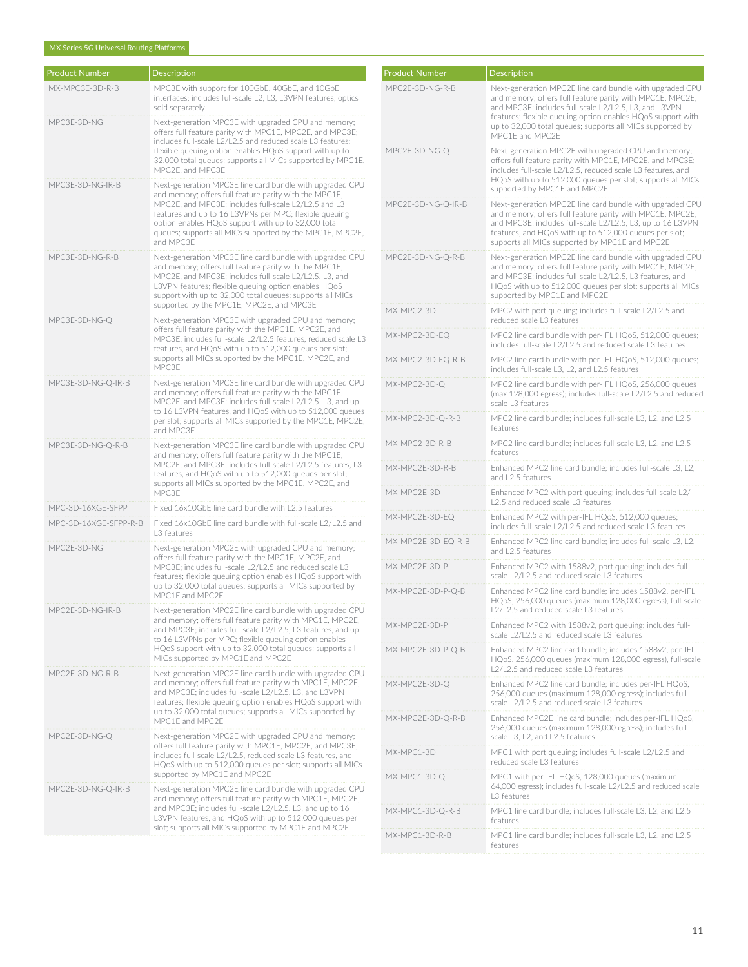#### MX Series 5G Universal Routing Platforms

| <b>Product Number</b> | Description                                                                                                                                                                                                                                                                                                                                                          |
|-----------------------|----------------------------------------------------------------------------------------------------------------------------------------------------------------------------------------------------------------------------------------------------------------------------------------------------------------------------------------------------------------------|
| MX-MPC3E-3D-R-B       | MPC3E with support for 100GbE, 40GbE, and 10GbE<br>interfaces; includes full-scale L2, L3, L3VPN features; optics<br>sold separately                                                                                                                                                                                                                                 |
| MPC3E-3D-NG           | Next-generation MPC3E with upgraded CPU and memory;<br>offers full feature parity with MPC1E, MPC2E, and MPC3E;<br>includes full-scale L2/L2.5 and reduced scale L3 features;<br>flexible queuing option enables HQoS support with up to<br>32,000 total queues; supports all MICs supported by MPC1E,<br>MPC2E, and MPC3E                                           |
| MPC3E-3D-NG-IR-B      | Next-generation MPC3E line card bundle with upgraded CPU<br>and memory; offers full feature parity with the MPC1E.<br>MPC2E, and MPC3E; includes full-scale L2/L2.5 and L3<br>features and up to 16 L3VPNs per MPC: flexible queuing<br>option enables HQoS support with up to 32,000 total<br>queues; supports all MICs supported by the MPC1E, MPC2E,<br>and MPC3E |
| MPC3E-3D-NG-R-B       | Next-generation MPC3E line card bundle with upgraded CPU<br>and memory; offers full feature parity with the MPC1E,<br>MPC2E, and MPC3E; includes full-scale L2/L2.5, L3, and<br>L3VPN features; flexible queuing option enables HQoS<br>support with up to 32,000 total queues; supports all MICs<br>supported by the MPC1E, MPC2E, and MPC3E                        |
| MPC3E-3D-NG-Q         | Next-generation MPC3E with upgraded CPU and memory;<br>offers full feature parity with the MPC1E, MPC2E, and<br>MPC3E; includes full-scale L2/L2.5 features, reduced scale L3<br>features, and HQoS with up to 512,000 queues per slot;<br>supports all MICs supported by the MPC1E, MPC2E, and<br>MPC3E                                                             |
| MPC3E-3D-NG-Q-IR-B    | Next-generation MPC3E line card bundle with upgraded CPU<br>and memory; offers full feature parity with the MPC1E,<br>MPC2E, and MPC3E; includes full-scale L2/L2.5, L3, and up<br>to 16 L3VPN features, and HQoS with up to 512,000 queues<br>per slot; supports all MICs supported by the MPC1E, MPC2E,<br>and MPC3E                                               |
| MPC3E-3D-NG-Q-R-B     | Next-generation MPC3E line card bundle with upgraded CPU<br>and memory; offers full feature parity with the MPC1E,<br>MPC2E, and MPC3E; includes full-scale L2/L2.5 features, L3<br>features, and HQoS with up to 512,000 queues per slot;<br>supports all MICs supported by the MPC1E, MPC2E, and<br>MPC3E                                                          |
| MPC-3D-16XGE-SFPP     | Fixed 16x10GbE line card bundle with L2.5 features                                                                                                                                                                                                                                                                                                                   |
| MPC-3D-16XGE-SFPP-R-B | Fixed 16x10GbE line card bundle with full-scale L2/L2.5 and<br>L3 features                                                                                                                                                                                                                                                                                           |
| MPC2E-3D-NG           | Next-generation MPC2E with upgraded CPU and memory;<br>offers full feature parity with the MPC1E, MPC2E, and<br>MPC3E; includes full-scale L2/L2.5 and reduced scale L3<br>features: flexible queuing option enables HOoS support with<br>up to 32,000 total queues; supports all MICs supported by<br>MPC1E and MPC2E                                               |
| MPC2E-3D-NG-IR-B      | Next-generation MPC2E line card bundle with upgraded CPU<br>and memory; offers full feature parity with MPC1E, MPC2E,<br>and MPC3E; includes full-scale L2/L2.5, L3 features, and up<br>to 16 L3VPNs per MPC; flexible queuing option enables<br>HQoS support with up to 32,000 total queues; supports all<br>MICs supported by MPC1E and MPC2E                      |
| MPC2E-3D-NG-R-B       | Next-generation MPC2E line card bundle with upgraded CPU<br>and memory; offers full feature parity with MPC1E, MPC2E,<br>and MPC3E; includes full-scale L2/L2.5, L3, and L3VPN<br>features; flexible queuing option enables HQoS support with<br>up to 32,000 total queues; supports all MICs supported by<br>MPC1E and MPC2E                                        |
| MPC2E-3D-NG-Q         | Next-generation MPC2E with upgraded CPU and memory;<br>offers full feature parity with MPC1E, MPC2E, and MPC3E;<br>includes full-scale L2/L2.5, reduced scale L3 features, and<br>HQoS with up to 512,000 queues per slot; supports all MICs<br>supported by MPC1E and MPC2E                                                                                         |
| MPC2E-3D-NG-Q-IR-B    | Next-generation MPC2E line card bundle with upgraded CPU<br>and memory; offers full feature parity with MPC1E, MPC2E,<br>and MPC3E; includes full-scale L2/L2.5, L3, and up to 16<br>L3VPN features, and HQoS with up to 512,000 queues per<br>slot; supports all MICs supported by MPC1E and MPC2E                                                                  |

| <b>Product Number</b> | Description                                                                                                                                                                                                                                                                                                                   |
|-----------------------|-------------------------------------------------------------------------------------------------------------------------------------------------------------------------------------------------------------------------------------------------------------------------------------------------------------------------------|
| MPC2E-3D-NG-R-B       | Next-generation MPC2E line card bundle with upgraded CPU<br>and memory; offers full feature parity with MPC1E, MPC2E,<br>and MPC3E; includes full-scale L2/L2.5, L3, and L3VPN<br>features; flexible queuing option enables HQoS support with<br>up to 32,000 total queues; supports all MICs supported by<br>MPC1E and MPC2E |
| MPC2E-3D-NG-Q         | Next-generation MPC2E with upgraded CPU and memory;<br>offers full feature parity with MPC1E, MPC2E, and MPC3E;<br>includes full-scale L2/L2.5, reduced scale L3 features, and<br>HQoS with up to 512,000 queues per slot; supports all MICs<br>supported by MPC1E and MPC2E                                                  |
| MPC2E-3D-NG-Q-IR-B    | Next-generation MPC2E line card bundle with upgraded CPU<br>and memory; offers full feature parity with MPC1E, MPC2E,<br>and MPC3E; includes full-scale L2/L2.5, L3, up to 16 L3VPN<br>features, and HQoS with up to 512,000 queues per slot;<br>supports all MICs supported by MPC1E and MPC2E                               |
| MPC2E-3D-NG-Q-R-B     | Next-generation MPC2E line card bundle with upgraded CPU<br>and memory; offers full feature parity with MPC1E, MPC2E,<br>and MPC3E; includes full-scale L2/L2.5, L3 features, and<br>HQoS with up to 512,000 queues per slot; supports all MICs<br>supported by MPC1E and MPC2E                                               |
| MX-MPC2-3D            | MPC2 with port queuing; includes full-scale L2/L2.5 and<br>reduced scale L3 features                                                                                                                                                                                                                                          |
| MX-MPC2-3D-EQ         | MPC2 line card bundle with per-IFL HQoS, 512,000 queues;<br>includes full-scale L2/L2.5 and reduced scale L3 features                                                                                                                                                                                                         |
| MX-MPC2-3D-EQ-R-B     | MPC2 line card bundle with per-IFL HQoS, 512,000 queues;<br>includes full-scale L3, L2, and L2.5 features                                                                                                                                                                                                                     |
| MX-MPC2-3D-Q          | MPC2 line card bundle with per-IFL HQoS, 256,000 queues<br>(max 128,000 egress); includes full-scale L2/L2.5 and reduced<br>scale L3 features                                                                                                                                                                                 |
| MX-MPC2-3D-Q-R-B      | MPC2 line card bundle; includes full-scale L3, L2, and L2.5<br>features                                                                                                                                                                                                                                                       |
| MX-MPC2-3D-R-B        | MPC2 line card bundle; includes full-scale L3, L2, and L2.5<br>features                                                                                                                                                                                                                                                       |
| MX-MPC2E-3D-R-B       | Enhanced MPC2 line card bundle; includes full-scale L3, L2,<br>and L2.5 features                                                                                                                                                                                                                                              |
| MX-MPC2E-3D           | Enhanced MPC2 with port queuing; includes full-scale L2/<br>L2.5 and reduced scale L3 features                                                                                                                                                                                                                                |
| MX-MPC2E-3D-EQ        | Enhanced MPC2 with per-IFL HQoS, 512,000 queues;<br>includes full-scale L2/L2.5 and reduced scale L3 features                                                                                                                                                                                                                 |
| MX-MPC2E-3D-EQ-R-B    | Enhanced MPC2 line card bundle; includes full-scale L3, L2,<br>and L2.5 features                                                                                                                                                                                                                                              |
| MX-MPC2E-3D-P         | Enhanced MPC2 with 1588v2, port queuing; includes full-<br>scale L2/L2.5 and reduced scale L3 features                                                                                                                                                                                                                        |
| MX-MPC2E-3D-P-Q-B     | Enhanced MPC2 line card bundle; includes 1588v2, per-IFL<br>HQoS, 256,000 queues (maximum 128,000 egress), full-scale<br>L2/L2.5 and reduced scale L3 features                                                                                                                                                                |
| MX-MPC2E-3D-P         | Enhanced MPC2 with 1588v2, port queuing; includes full-<br>scale L2/L2.5 and reduced scale L3 features                                                                                                                                                                                                                        |
| MX-MPC2E-3D-P-Q-B     | Enhanced MPC2 line card bundle; includes 1588v2, per-IFL<br>HQoS, 256,000 queues (maximum 128,000 egress), full-scale<br>L2/L2.5 and reduced scale L3 features                                                                                                                                                                |
| MX-MPC2E-3D-Q         | Enhanced MPC2 line card bundle; includes per-IFL HQoS,<br>256,000 queues (maximum 128,000 egress); includes full-<br>scale L2/L2.5 and reduced scale L3 features                                                                                                                                                              |
| MX-MPC2E-3D-Q-R-B     | Enhanced MPC2E line card bundle; includes per-IFL HQoS,<br>256,000 queues (maximum 128,000 egress); includes full-<br>scale L3, L2, and L2.5 features                                                                                                                                                                         |
| MX-MPC1-3D            | MPC1 with port queuing; includes full-scale L2/L2.5 and<br>reduced scale L3 features                                                                                                                                                                                                                                          |
| MX-MPC1-3D-Q          | MPC1 with per-IFL HQoS, 128,000 queues (maximum<br>64,000 egress); includes full-scale L2/L2.5 and reduced scale<br>L3 features                                                                                                                                                                                               |
| MX-MPC1-3D-Q-R-B      | MPC1 line card bundle; includes full-scale L3, L2, and L2.5<br>features                                                                                                                                                                                                                                                       |
| MX-MPC1-3D-R-B        | MPC1 line card bundle; includes full-scale L3, L2, and L2.5<br>features                                                                                                                                                                                                                                                       |
|                       |                                                                                                                                                                                                                                                                                                                               |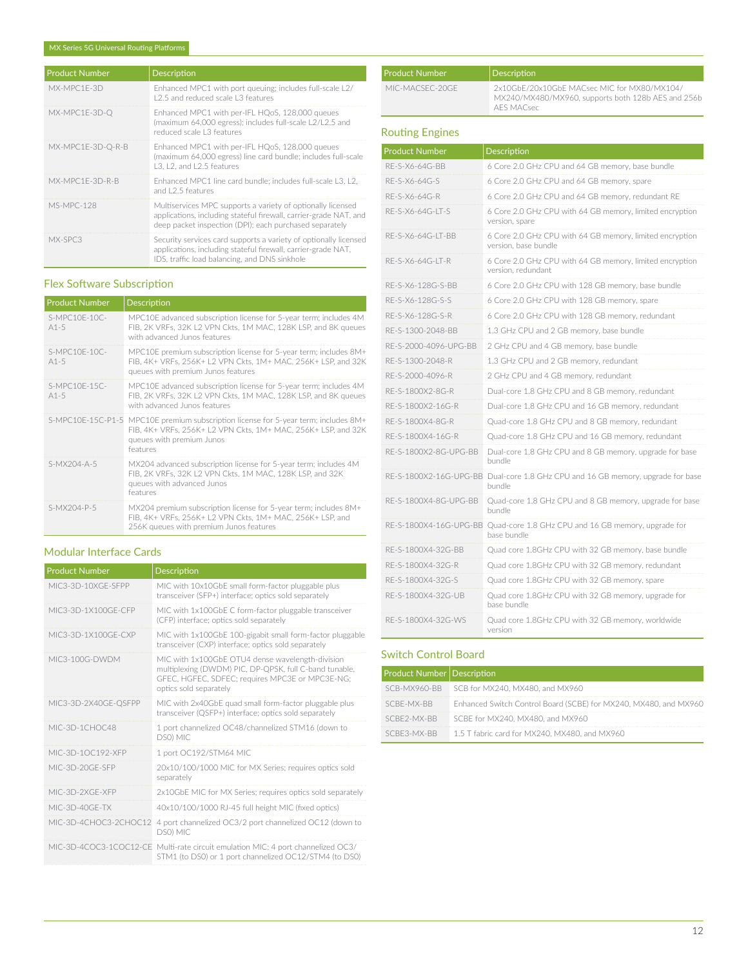| <b>Product Number</b> | Description                                                                                                                                                                                 |
|-----------------------|---------------------------------------------------------------------------------------------------------------------------------------------------------------------------------------------|
| MX-MPC1F-3D           | Enhanced MPC1 with port queuing; includes full-scale L2/<br>12.5 and reduced scale L3 features                                                                                              |
| MX-MPC1E-3D-Q         | Enhanced MPC1 with per-IFL HQoS, 128,000 queues<br>(maximum 64,000 egress); includes full-scale L2/L2.5 and<br>reduced scale L3 features                                                    |
| MX-MPC1E-3D-Q-R-B     | Enhanced MPC1 with per-IFL HQoS, 128,000 queues<br>(maximum 64,000 egress) line card bundle; includes full-scale<br>L3. L2. and L2.5 features                                               |
| MX-MPC1F-3D-R-B       | Enhanced MPC1 line card bundle: includes full-scale L3, L2,<br>and 12.5 features                                                                                                            |
| <b>MS-MPC-128</b>     | Multiservices MPC supports a variety of optionally licensed<br>applications, including stateful firewall, carrier-grade NAT, and<br>deep packet inspection (DPI); each purchased separately |
| MX-SPC3               | Security services card supports a variety of optionally licensed<br>applications, including stateful firewall, carrier-grade NAT,<br>IDS, traffic load balancing, and DNS sinkhole          |

# Flex Software Subscription

| <b>Product Number</b>   | <b>Description</b>                                                                                                                                                                            |
|-------------------------|-----------------------------------------------------------------------------------------------------------------------------------------------------------------------------------------------|
| S-MPC10F-10C-<br>$A1-5$ | MPC10E advanced subscription license for 5-year term; includes 4M<br>FIB, 2K VRFs, 32K L2 VPN Ckts, 1M MAC, 128K LSP, and 8K queues<br>with advanced Junos features                           |
| S-MPC10F-10C-<br>$A1-5$ | MPC10E premium subscription license for 5-year term; includes 8M+<br>FIB, 4K+ VRFs, 256K+ L2 VPN Ckts, 1M+ MAC, 256K+ LSP, and 32K<br>queues with premium Junos features                      |
| S-MPC10F-15C-<br>$A1-5$ | MPC10E advanced subscription license for 5-year term; includes 4M<br>FIB, 2K VRFs, 32K L2 VPN Ckts, 1M MAC, 128K LSP, and 8K queues<br>with advanced Junos features                           |
|                         | S-MPC10E-15C-P1-5 MPC10E premium subscription license for 5-year term; includes 8M+<br>FIB, 4K+ VRFs, 256K+ L2 VPN Ckts, 1M+ MAC, 256K+ LSP, and 32K<br>queues with premium Junos<br>features |
| $S-MX204 - A - 5$       | MX204 advanced subscription license for 5-year term; includes 4M<br>FIB. 2K VRFs. 32K L2 VPN Ckts. 1M MAC. 128K LSP. and 32K<br>queues with advanced Junos<br>features                        |
| S-MX204-P-5             | MX204 premium subscription license for 5-year term; includes 8M+<br>FIB, 4K+ VRFs, 256K+ L2 VPN Ckts, 1M+ MAC, 256K+ LSP, and<br>256K queues with premium Junos features                      |

# Modular Interface Cards

| <b>Product Number</b> | Description                                                                                                                                                                             |
|-----------------------|-----------------------------------------------------------------------------------------------------------------------------------------------------------------------------------------|
| MIC3-3D-10XGE-SEPP    | MIC with 10x10GbE small form-factor pluggable plus<br>transceiver (SFP+) interface; optics sold separately                                                                              |
| MIC3-3D-1X100GF-CFP   | MIC with 1x100GbE C form-factor pluggable transceiver<br>(CFP) interface; optics sold separately                                                                                        |
| MIC3-3D-1X100GF-CXP   | MIC with 1x100GbE 100-gigabit small form-factor pluggable<br>transceiver (CXP) interface; optics sold separately                                                                        |
| MIC3-100G-DWDM        | MIC with 1x100GbE OTU4 dense wavelength-division<br>multiplexing (DWDM) PIC, DP-QPSK, full C-band tunable,<br>GFEC, HGFEC, SDFEC; requires MPC3E or MPC3E-NG;<br>optics sold separately |
| MIC3-3D-2X40GE-QSFPP  | MIC with 2x40GbE quad small form-factor pluggable plus<br>transceiver (QSFP+) interface; optics sold separately                                                                         |
| MIC-3D-1CHOC48        | 1 port channelized OC48/channelized STM16 (down to<br>DS0) MIC                                                                                                                          |
| MIC-3D-10C192-XFP     | 1 port OC192/STM64 MIC                                                                                                                                                                  |
| MIC-3D-20GE-SEP       | 20x10/100/1000 MIC for MX Series; requires optics sold<br>separately                                                                                                                    |
| MIC-3D-2XGF-XFP       | 2x10GbE MIC for MX Series; requires optics sold separately                                                                                                                              |
| MIC-3D-40GF-TX        | 40x10/100/1000 RJ-45 full height MIC (fixed optics)                                                                                                                                     |
| MIC-3D-4CHOC3-2CHOC12 | 4 port channelized OC3/2 port channelized OC12 (down to<br>DS0) MIC                                                                                                                     |
|                       | MIC-3D-4COC3-1COC12-CE Multi-rate circuit emulation MIC; 4 port channelized OC3/<br>STM1 (to DS0) or 1 port channelized OC12/STM4 (to DS0)                                              |

| <b>Product Number</b> | Description                                                                                                     |
|-----------------------|-----------------------------------------------------------------------------------------------------------------|
| MIC-MACSEC-20GE       | 2x10GbE/20x10GbE MACsec MIC for MX80/MX104/<br>MX240/MX480/MX960, supports both 128b AES and 256b<br>AFS MACsec |

# Routing Engines

| <b>Product Number</b>  | Description                                                                      |
|------------------------|----------------------------------------------------------------------------------|
| RE-S-X6-64G-BB         | 6 Core 2.0 GHz CPU and 64 GB memory, base bundle                                 |
| RF-S-X6-64G-S          | 6 Core 2.0 GHz CPU and 64 GB memory, spare                                       |
| RE-S-X6-64G-R          | 6 Core 2.0 GHz CPU and 64 GB memory, redundant RE                                |
| RE-S-X6-64G-LT-S       | 6 Core 2.0 GHz CPU with 64 GB memory, limited encryption<br>version, spare       |
| RF-S-X6-64G-IT-BB      | 6 Core 2.0 GHz CPU with 64 GB memory, limited encryption<br>version, base bundle |
| RE-S-X6-64G-LT-R       | 6 Core 2.0 GHz CPU with 64 GB memory, limited encryption<br>version, redundant   |
| RE-S-X6-128G-S-BB      | 6 Core 2.0 GHz CPU with 128 GB memory, base bundle                               |
| RF-S-X6-128G-S-S       | 6 Core 2.0 GHz CPU with 128 GB memory, spare                                     |
| RE-S-X6-128G-S-R       | 6 Core 2.0 GHz CPU with 128 GB memory, redundant                                 |
| RE-S-1300-2048-BB      | 1.3 GHz CPU and 2 GB memory, base bundle                                         |
| RF-S-2000-4096-UPG-BB  | 2 GHz CPU and 4 GB memory, base bundle                                           |
| RE-S-1300-2048-R       | 1.3 GHz CPU and 2 GB memory, redundant                                           |
| RF-S-2000-4096-R       | 2 GHz CPU and 4 GB memory, redundant                                             |
| RE-S-1800X2-8G-R       | Dual-core 1.8 GHz CPU and 8 GB memory, redundant                                 |
| RE-S-1800X2-16G-R      | Dual-core 1.8 GHz CPU and 16 GB memory, redundant                                |
| RF-S-1800X4-8G-R       | Quad-core 1.8 GHz CPU and 8 GB memory, redundant                                 |
| RE-S-1800X4-16G-R      | Quad-core 1.8 GHz CPU and 16 GB memory, redundant                                |
| RE-S-1800X2-8G-UPG-BB  | Dual-core 1.8 GHz CPU and 8 GB memory, upgrade for base<br>hundle                |
| RE-S-1800X2-16G-UPG-BB | Dual-core 1.8 GHz CPU and 16 GB memory, upgrade for base<br>bundle               |
| RE-S-1800X4-8G-UPG-BB  | Quad-core 1.8 GHz CPU and 8 GB memory, upgrade for base<br>bundle                |
| RE-S-1800X4-16G-UPG-BB | Quad-core 1.8 GHz CPU and 16 GB memory, upgrade for<br>base bundle               |
| RE-S-1800X4-32G-BB     | Quad core 1.8GHz CPU with 32 GB memory, base bundle                              |
| RF-S-1800X4-32G-R      | Quad core 1.8GHz CPU with 32 GB memory, redundant                                |
| RE-S-1800X4-32G-S      | Quad core 1.8GHz CPU with 32 GB memory, spare                                    |
| RE-S-1800X4-32G-UB     | Quad core 1.8GHz CPU with 32 GB memory, upgrade for<br>base bundle               |
| RE-S-1800X4-32G-WS     | Quad core 1.8GHz CPU with 32 GB memory, worldwide<br>version                     |

#### Switch Control Board

| <b>Product Number Description</b> |                                                                  |
|-----------------------------------|------------------------------------------------------------------|
|                                   | SCB-MX960-BB SCB for MX240, MX480, and MX960                     |
| SCBF-MX-BB                        | Enhanced Switch Control Board (SCBE) for MX240, MX480, and MX960 |
| SCRE2-MX-RR                       | SCBE for MX240, MX480, and MX960                                 |
| SCBE3-MX-BB                       | 1.5 T fabric card for MX240, MX480, and MX960                    |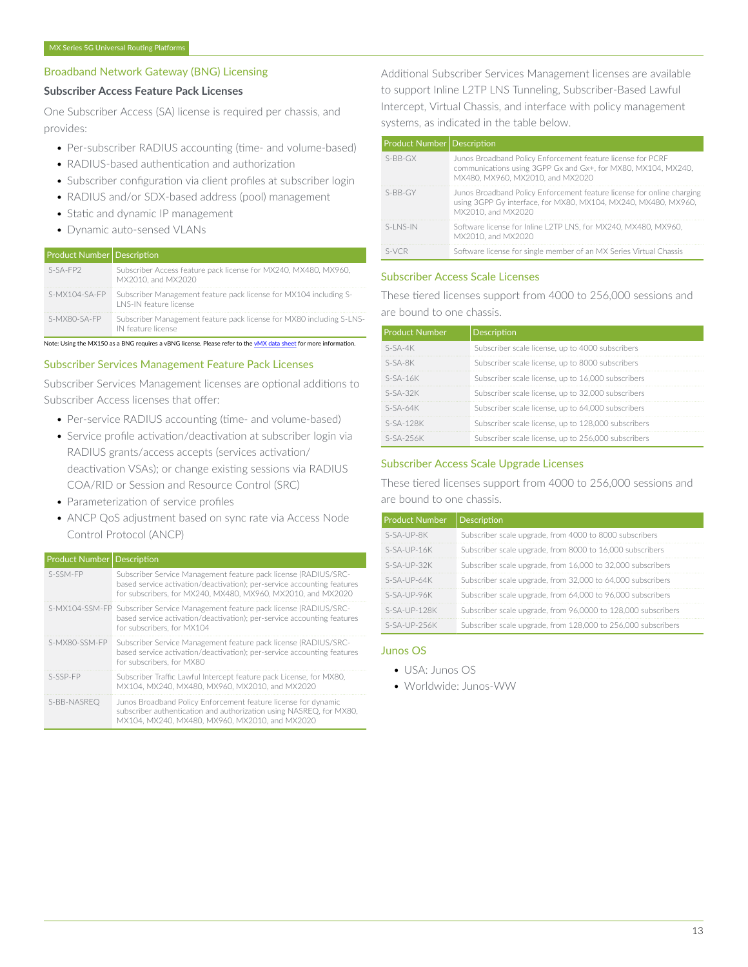# Broadband Network Gateway (BNG) Licensing

# **Subscriber Access Feature Pack Licenses**

One Subscriber Access (SA) license is required per chassis, and provides:

- Per-subscriber RADIUS accounting (time- and volume-based)
- RADIUS-based authentication and authorization
- Subscriber configuration via client profiles at subscriber login
- RADIUS and/or SDX-based address (pool) management
- Static and dynamic IP management
- Dynamic auto-sensed VLANs

# **Product Number Description**

| $S-SA-FP2$    | Subscriber Access feature pack license for MX240, MX480, MX960,<br>MX2010, and MX2020              |
|---------------|----------------------------------------------------------------------------------------------------|
| S-MX104-SA-FP | Subscriber Management feature pack license for MX104 including S-<br><b>LNS-IN feature license</b> |
| S-MX80-SA-FP  | Subscriber Management feature pack license for MX80 including S-LNS-<br>IN feature license         |

Note: Using the MX150 as a BNG requires a vBNG license. Please refer to the [vMX data sheet](https://www.juniper.net/assets/us/en/local/pdf/datasheets/1000522-en.pdf) for more information.

#### Subscriber Services Management Feature Pack Licenses

Subscriber Services Management licenses are optional additions to Subscriber Access licenses that offer:

- Per-service RADIUS accounting (time- and volume-based)
- Service profile activation/deactivation at subscriber login via RADIUS grants/access accepts (services activation/ deactivation VSAs); or change existing sessions via RADIUS COA/RID or Session and Resource Control (SRC)
- Parameterization of service profiles
- ANCP QoS adjustment based on sync rate via Access Node Control Protocol (ANCP)

#### $\sqrt{\frac{P_{\text{p}}}{P_{\text{p}}}}$  Product Number Description

| S-SSM-FP      | Subscriber Service Management feature pack license (RADIUS/SRC-<br>based service activation/deactivation); per-service accounting features<br>for subscribers, for MX240, MX480, MX960, MX2010, and MX2020 |
|---------------|------------------------------------------------------------------------------------------------------------------------------------------------------------------------------------------------------------|
|               | S-MX104-SSM-FP Subscriber Service Management feature pack license (RADIUS/SRC-<br>based service activation/deactivation); per-service accounting features<br>for subscribers, for MX104                    |
| S-MX80-SSM-FP | Subscriber Service Management feature pack license (RADIUS/SRC-<br>based service activation/deactivation); per-service accounting features<br>for subscribers, for MX80                                    |
| S-SSP-FP      | Subscriber Traffic Lawful Intercept feature pack License, for MX80.<br>MX104, MX240, MX480, MX960, MX2010, and MX2020                                                                                      |
| S-BB-NASREO   | Junos Broadband Policy Enforcement feature license for dynamic<br>subscriber authentication and authorization using NASREO, for MX80.<br>MX104, MX240, MX480, MX960, MX2010, and MX2020                    |

Additional Subscriber Services Management licenses are available to support Inline L2TP LNS Tunneling, Subscriber-Based Lawful Intercept, Virtual Chassis, and interface with policy management systems, as indicated in the table below.

|  | <b>Product Number Description</b> |                                                                                                                                                                  |
|--|-----------------------------------|------------------------------------------------------------------------------------------------------------------------------------------------------------------|
|  | $S-BB-GX$                         | Junos Broadband Policy Enforcement feature license for PCRF<br>communications using 3GPP Gx and Gx+, for MX80, MX104, MX240,<br>MX480, MX960, MX2010, and MX2020 |
|  | $S-RR-GY$                         | Junos Broadband Policy Enforcement feature license for online charging<br>using 3GPP Gy interface, for MX80, MX104, MX240, MX480, MX960,<br>MX2010, and MX2020   |
|  | $S-1$ NS-IN                       | Software license for Inline L2TP LNS, for MX240, MX480, MX960,<br>MX2010, and MX2020                                                                             |
|  | $S-NCR$                           | Software license for single member of an MX Series Virtual Chassis                                                                                               |

# Subscriber Access Scale Licenses

These tiered licenses support from 4000 to 256,000 sessions and are bound to one chassis.

| <b>Product Number</b> | <b>Description</b>                                  |
|-----------------------|-----------------------------------------------------|
| $S-SA-4K$             | Subscriber scale license, up to 4000 subscribers    |
| $S-SA-8K$             | Subscriber scale license, up to 8000 subscribers    |
| $S-SA-16K$            | Subscriber scale license, up to 16,000 subscribers  |
| $S-SA-32K$            | Subscriber scale license, up to 32,000 subscribers  |
| $S-SA-64K$            | Subscriber scale license, up to 64,000 subscribers  |
| $S-SA-128K$           | Subscriber scale license, up to 128,000 subscribers |
| $S-SA-25AK$           | Subscriber scale license, up to 256,000 subscribers |

#### Subscriber Access Scale Upgrade Licenses

These tiered licenses support from 4000 to 256,000 sessions and are bound to one chassis.

| <b>Product Number</b> | Description                                                   |
|-----------------------|---------------------------------------------------------------|
| $S-SA-UP-RK$          | Subscriber scale upgrade, from 4000 to 8000 subscribers       |
| $S-SA-UP-16K$         | Subscriber scale upgrade, from 8000 to 16,000 subscribers     |
| $S-SA-UP-32K$         | Subscriber scale upgrade, from 16,000 to 32,000 subscribers   |
| $S-SA-IJP-64K$        | Subscriber scale upgrade, from 32,000 to 64,000 subscribers   |
| $S-SA-UP-96K$         | Subscriber scale upgrade, from 64,000 to 96,000 subscribers   |
| $S-SA-UP-128K$        | Subscriber scale upgrade, from 96,0000 to 128,000 subscribers |
| $S-SA-UP-25AK$        | Subscriber scale upgrade, from 128,000 to 256,000 subscribers |

# Junos OS

- USA: Junos OS
- Worldwide: Junos-WW